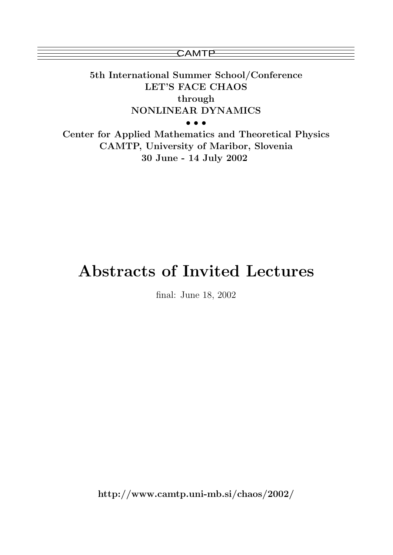**CAMTP** 

5th International Summer School/Conference LET'S FACE CHAOS through NONLINEAR DYNAMICS

• • •

Center for Applied Mathematics and Theoretical Physics CAMTP, University of Maribor, Slovenia 30 June - 14 July 2002

# Abstracts of Invited Lectures

final: June 18, 2002

http://www.camtp.uni-mb.si/chaos/2002/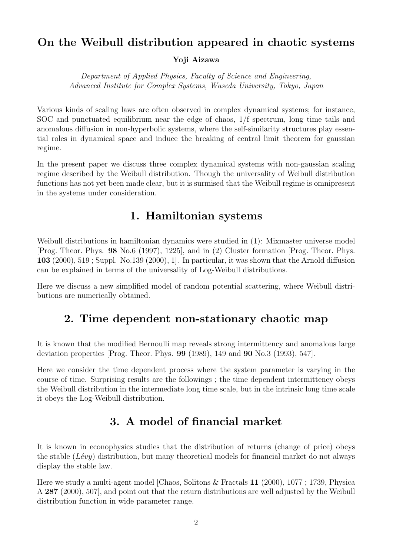# On the Weibull distribution appeared in chaotic systems

Yoji Aizawa

Department of Applied Physics, Faculty of Science and Engineering, Advanced Institute for Complex Systems, Waseda University, Tokyo, Japan

Various kinds of scaling laws are often observed in complex dynamical systems; for instance, SOC and punctuated equilibrium near the edge of chaos, 1/f spectrum, long time tails and anomalous diffusion in non-hyperbolic systems, where the self-similarity structures play essential roles in dynamical space and induce the breaking of central limit theorem for gaussian regime.

In the present paper we discuss three complex dynamical systems with non-gaussian scaling regime described by the Weibull distribution. Though the universality of Weibull distribution functions has not yet been made clear, but it is surmised that the Weibull regime is omnipresent in the systems under consideration.

# 1. Hamiltonian systems

Weibull distributions in hamiltonian dynamics were studied in (1): Mixmaster universe model [Prog. Theor. Phys. 98 No.6 (1997), 1225], and in (2) Cluster formation [Prog. Theor. Phys. 103 (2000), 519 ; Suppl. No.139 (2000), 1]. In particular, it was shown that the Arnold diffusion can be explained in terms of the universality of Log-Weibull distributions.

Here we discuss a new simplified model of random potential scattering, where Weibull distributions are numerically obtained.

# 2. Time dependent non-stationary chaotic map

It is known that the modified Bernoulli map reveals strong intermittency and anomalous large deviation properties [Prog. Theor. Phys. 99 (1989), 149 and 90 No.3 (1993), 547].

Here we consider the time dependent process where the system parameter is varying in the course of time. Surprising results are the followings ; the time dependent intermittency obeys the Weibull distribution in the intermediate long time scale, but in the intrinsic long time scale it obeys the Log-Weibull distribution.

# 3. A model of financial market

It is known in econophysics studies that the distribution of returns (change of price) obeys the stable  $(Lévy)$  distribution, but many theoretical models for financial market do not always display the stable law.

Here we study a multi-agent model [Chaos, Solitons & Fractals 11 (2000), 1077 ; 1739, Physica A 287 (2000), 507], and point out that the return distributions are well adjusted by the Weibull distribution function in wide parameter range.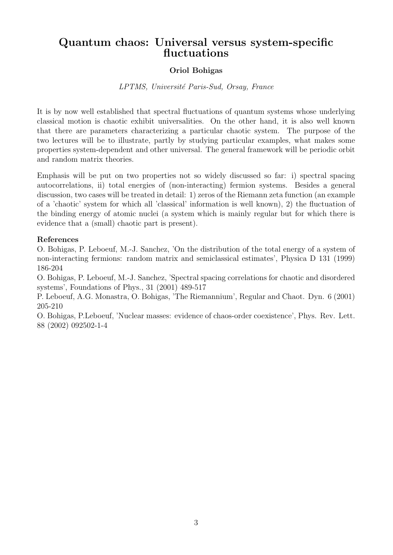# Quantum chaos: Universal versus system-specific fluctuations

## Oriol Bohigas

### LPTMS, Université Paris-Sud, Orsay, France

It is by now well established that spectral fluctuations of quantum systems whose underlying classical motion is chaotic exhibit universalities. On the other hand, it is also well known that there are parameters characterizing a particular chaotic system. The purpose of the two lectures will be to illustrate, partly by studying particular examples, what makes some properties system-dependent and other universal. The general framework will be periodic orbit and random matrix theories.

Emphasis will be put on two properties not so widely discussed so far: i) spectral spacing autocorrelations, ii) total energies of (non-interacting) fermion systems. Besides a general discussion, two cases will be treated in detail: 1) zeros of the Riemann zeta function (an example of a 'chaotic' system for which all 'classical' information is well known), 2) the fluctuation of the binding energy of atomic nuclei (a system which is mainly regular but for which there is evidence that a (small) chaotic part is present).

#### References

O. Bohigas, P. Leboeuf, M.-J. Sanchez, 'On the distribution of the total energy of a system of non-interacting fermions: random matrix and semiclassical estimates', Physica D 131 (1999) 186-204

O. Bohigas, P. Leboeuf, M.-J. Sanchez, 'Spectral spacing correlations for chaotic and disordered systems', Foundations of Phys., 31 (2001) 489-517

P. Leboeuf, A.G. Monastra, O. Bohigas, 'The Riemannium', Regular and Chaot. Dyn. 6 (2001) 205-210

O. Bohigas, P.Leboeuf, 'Nuclear masses: evidence of chaos-order coexistence', Phys. Rev. Lett. 88 (2002) 092502-1-4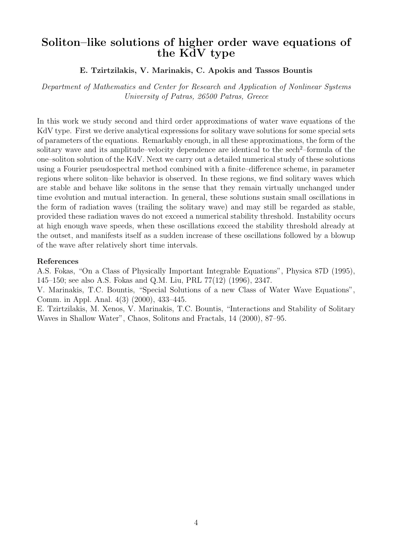# Soliton–like solutions of higher order wave equations of the KdV type

## E. Tzirtzilakis, V. Marinakis, C. Apokis and Tassos Bountis

Department of Mathematics and Center for Research and Application of Nonlinear Systems University of Patras, 26500 Patras, Greece

In this work we study second and third order approximations of water wave equations of the KdV type. First we derive analytical expressions for solitary wave solutions for some special sets of parameters of the equations. Remarkably enough, in all these approximations, the form of the solitary wave and its amplitude–velocity dependence are identical to the sech<sup>2</sup>–formula of the one–soliton solution of the KdV. Next we carry out a detailed numerical study of these solutions using a Fourier pseudospectral method combined with a finite–difference scheme, in parameter regions where soliton–like behavior is observed. In these regions, we find solitary waves which are stable and behave like solitons in the sense that they remain virtually unchanged under time evolution and mutual interaction. In general, these solutions sustain small oscillations in the form of radiation waves (trailing the solitary wave) and may still be regarded as stable, provided these radiation waves do not exceed a numerical stability threshold. Instability occurs at high enough wave speeds, when these oscillations exceed the stability threshold already at the outset, and manifests itself as a sudden increase of these oscillations followed by a blowup of the wave after relatively short time intervals.

#### References

A.S. Fokas, "On a Class of Physically Important Integrable Equations", Physica 87D (1995), 145–150; see also A.S. Fokas and Q.M. Liu, PRL 77(12) (1996), 2347.

V. Marinakis, T.C. Bountis, "Special Solutions of a new Class of Water Wave Equations", Comm. in Appl. Anal. 4(3) (2000), 433–445.

E. Tzirtzilakis, M. Xenos, V. Marinakis, T.C. Bountis, "Interactions and Stability of Solitary Waves in Shallow Water", Chaos, Solitons and Fractals, 14 (2000), 87–95.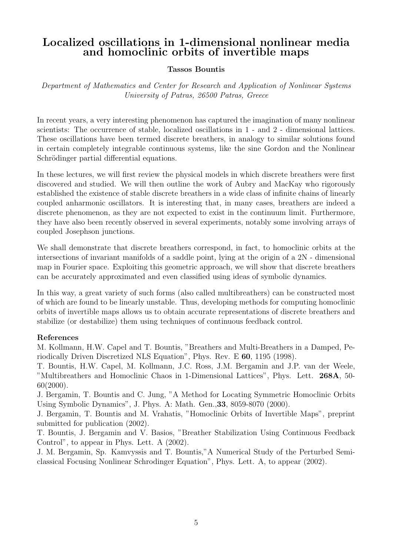# Localized oscillations in 1-dimensional nonlinear media and homoclinic orbits of invertible maps

## Tassos Bountis

Department of Mathematics and Center for Research and Application of Nonlinear Systems University of Patras, 26500 Patras, Greece

In recent years, a very interesting phenomenon has captured the imagination of many nonlinear scientists: The occurrence of stable, localized oscillations in 1 - and 2 - dimensional lattices. These oscillations have been termed discrete breathers, in analogy to similar solutions found in certain completely integrable continuous systems, like the sine Gordon and the Nonlinear Schrödinger partial differential equations.

In these lectures, we will first review the physical models in which discrete breathers were first discovered and studied. We will then outline the work of Aubry and MacKay who rigorously established the existence of stable discrete breathers in a wide class of infinite chains of linearly coupled anharmonic oscillators. It is interesting that, in many cases, breathers are indeed a discrete phenomenon, as they are not expected to exist in the continuum limit. Furthermore, they have also been recently observed in several experiments, notably some involving arrays of coupled Josephson junctions.

We shall demonstrate that discrete breathers correspond, in fact, to homoclinic orbits at the intersections of invariant manifolds of a saddle point, lying at the origin of a 2N - dimensional map in Fourier space. Exploiting this geometric approach, we will show that discrete breathers can be accurately approximated and even classified using ideas of symbolic dynamics.

In this way, a great variety of such forms (also called multibreathers) can be constructed most of which are found to be linearly unstable. Thus, developing methods for computing homoclinic orbits of invertible maps allows us to obtain accurate representations of discrete breathers and stabilize (or destabilize) them using techniques of continuous feedback control.

## References

M. Kollmann, H.W. Capel and T. Bountis, "Breathers and Multi-Breathers in a Damped, Periodically Driven Discretized NLS Equation", Phys. Rev. E 60, 1195 (1998).

T. Bountis, H.W. Capel, M. Kollmann, J.C. Ross, J.M. Bergamin and J.P. van der Weele, "Multibreathers and Homoclinic Chaos in 1-Dimensional Lattices", Phys. Lett. 268A, 50- 60(2000).

J. Bergamin, T. Bountis and C. Jung, "A Method for Locating Symmetric Homoclinic Orbits Using Symbolic Dynamics", J. Phys. A: Math. Gen.,33, 8059-8070 (2000).

J. Bergamin, T. Bountis and M. Vrahatis, "Homoclinic Orbits of Invertible Maps", preprint submitted for publication (2002).

T. Bountis, J. Bergamin and V. Basios, "Breather Stabilization Using Continuous Feedback Control", to appear in Phys. Lett. A (2002).

J. M. Bergamin, Sp. Kamvyssis and T. Bountis,"A Numerical Study of the Perturbed Semiclassical Focusing Nonlinear Schrodinger Equation", Phys. Lett. A, to appear (2002).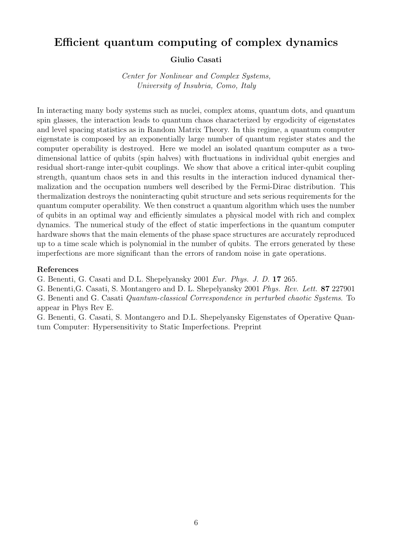# Efficient quantum computing of complex dynamics

#### Giulio Casati

Center for Nonlinear and Complex Systems, University of Insubria, Como, Italy

In interacting many body systems such as nuclei, complex atoms, quantum dots, and quantum spin glasses, the interaction leads to quantum chaos characterized by ergodicity of eigenstates and level spacing statistics as in Random Matrix Theory. In this regime, a quantum computer eigenstate is composed by an exponentially large number of quantum register states and the computer operability is destroyed. Here we model an isolated quantum computer as a twodimensional lattice of qubits (spin halves) with fluctuations in individual qubit energies and residual short-range inter-qubit couplings. We show that above a critical inter-qubit coupling strength, quantum chaos sets in and this results in the interaction induced dynamical thermalization and the occupation numbers well described by the Fermi-Dirac distribution. This thermalization destroys the noninteracting qubit structure and sets serious requirements for the quantum computer operability. We then construct a quantum algorithm which uses the number of qubits in an optimal way and efficiently simulates a physical model with rich and complex dynamics. The numerical study of the effect of static imperfections in the quantum computer hardware shows that the main elements of the phase space structures are accurately reproduced up to a time scale which is polynomial in the number of qubits. The errors generated by these imperfections are more significant than the errors of random noise in gate operations.

#### References

G. Benenti, G. Casati and D.L. Shepelyansky 2001 Eur. Phys. J. D. 17 265.

G. Benenti,G. Casati, S. Montangero and D. L. Shepelyansky 2001 Phys. Rev. Lett. 87 227901

G. Benenti and G. Casati Quantum-classical Correspondence in perturbed chaotic Systems. To appear in Phys Rev E.

G. Benenti, G. Casati, S. Montangero and D.L. Shepelyansky Eigenstates of Operative Quantum Computer: Hypersensitivity to Static Imperfections. Preprint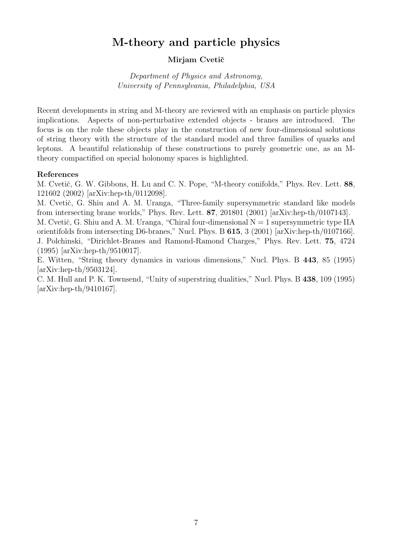# M-theory and particle physics

## Mirjam Cvetič

Department of Physics and Astronomy, University of Pennsylvania, Philadelphia, USA

Recent developments in string and M-theory are reviewed with an emphasis on particle physics implications. Aspects of non-perturbative extended objects - branes are introduced. The focus is on the role these objects play in the construction of new four-dimensional solutions of string theory with the structure of the standard model and three families of quarks and leptons. A beautiful relationship of these constructions to purely geometric one, as an Mtheory compactified on special holonomy spaces is highlighted.

#### References

M. Cvetič, G. W. Gibbons, H. Lu and C. N. Pope, "M-theory conifolds," Phys. Rev. Lett. 88, 121602 (2002) [arXiv:hep-th/0112098].

M. Cvetič, G. Shiu and A. M. Uranga, "Three-family supersymmetric standard like models from intersecting brane worlds," Phys. Rev. Lett. 87, 201801 (2001) [arXiv:hep-th/0107143].

M. Cvetič, G. Shiu and A. M. Uranga, "Chiral four-dimensional  $N = 1$  supersymmetric type IIA orientifolds from intersecting D6-branes," Nucl. Phys. B 615, 3 (2001) [arXiv:hep-th/0107166]. J. Polchinski, "Dirichlet-Branes and Ramond-Ramond Charges," Phys. Rev. Lett. 75, 4724 (1995) [arXiv:hep-th/9510017].

E. Witten, "String theory dynamics in various dimensions," Nucl. Phys. B 443, 85 (1995) [arXiv:hep-th/9503124].

C. M. Hull and P. K. Townsend, "Unity of superstring dualities," Nucl. Phys. B 438, 109 (1995) [arXiv:hep-th/9410167].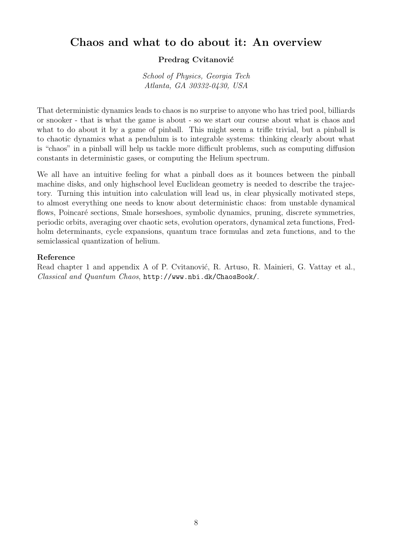# Chaos and what to do about it: An overview

## Predrag Cvitanović

School of Physics, Georgia Tech Atlanta, GA 30332-0430, USA

That deterministic dynamics leads to chaos is no surprise to anyone who has tried pool, billiards or snooker - that is what the game is about - so we start our course about what is chaos and what to do about it by a game of pinball. This might seem a trifle trivial, but a pinball is to chaotic dynamics what a pendulum is to integrable systems: thinking clearly about what is "chaos" in a pinball will help us tackle more difficult problems, such as computing diffusion constants in deterministic gases, or computing the Helium spectrum.

We all have an intuitive feeling for what a pinball does as it bounces between the pinball machine disks, and only highschool level Euclidean geometry is needed to describe the trajectory. Turning this intuition into calculation will lead us, in clear physically motivated steps, to almost everything one needs to know about deterministic chaos: from unstable dynamical flows, Poincaré sections, Smale horseshoes, symbolic dynamics, pruning, discrete symmetries, periodic orbits, averaging over chaotic sets, evolution operators, dynamical zeta functions, Fredholm determinants, cycle expansions, quantum trace formulas and zeta functions, and to the semiclassical quantization of helium.

#### Reference

Read chapter 1 and appendix A of P. Cvitanović, R. Artuso, R. Mainieri, G. Vattay et al., Classical and Quantum Chaos, http://www.nbi.dk/ChaosBook/.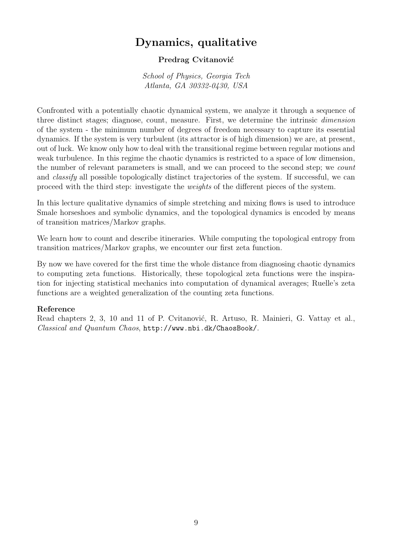# Dynamics, qualitative

## Predrag Cvitanović

School of Physics, Georgia Tech Atlanta, GA 30332-0430, USA

Confronted with a potentially chaotic dynamical system, we analyze it through a sequence of three distinct stages; diagnose, count, measure. First, we determine the intrinsic dimension of the system - the minimum number of degrees of freedom necessary to capture its essential dynamics. If the system is very turbulent (its attractor is of high dimension) we are, at present, out of luck. We know only how to deal with the transitional regime between regular motions and weak turbulence. In this regime the chaotic dynamics is restricted to a space of low dimension, the number of relevant parameters is small, and we can proceed to the second step; we count and classify all possible topologically distinct trajectories of the system. If successful, we can proceed with the third step: investigate the weights of the different pieces of the system.

In this lecture qualitative dynamics of simple stretching and mixing flows is used to introduce Smale horseshoes and symbolic dynamics, and the topological dynamics is encoded by means of transition matrices/Markov graphs.

We learn how to count and describe itineraries. While computing the topological entropy from transition matrices/Markov graphs, we encounter our first zeta function.

By now we have covered for the first time the whole distance from diagnosing chaotic dynamics to computing zeta functions. Historically, these topological zeta functions were the inspiration for injecting statistical mechanics into computation of dynamical averages; Ruelle's zeta functions are a weighted generalization of the counting zeta functions.

## Reference

Read chapters 2, 3, 10 and 11 of P. Cvitanović, R. Artuso, R. Mainieri, G. Vattay et al., Classical and Quantum Chaos, http://www.nbi.dk/ChaosBook/.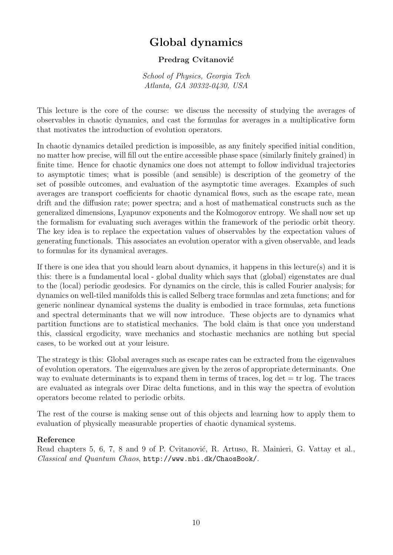# Global dynamics

## Predrag Cvitanović

School of Physics, Georgia Tech Atlanta, GA 30332-0430, USA

This lecture is the core of the course: we discuss the necessity of studying the averages of observables in chaotic dynamics, and cast the formulas for averages in a multiplicative form that motivates the introduction of evolution operators.

In chaotic dynamics detailed prediction is impossible, as any finitely specified initial condition, no matter how precise, will fill out the entire accessible phase space (similarly finitely grained) in finite time. Hence for chaotic dynamics one does not attempt to follow individual trajectories to asymptotic times; what is possible (and sensible) is description of the geometry of the set of possible outcomes, and evaluation of the asymptotic time averages. Examples of such averages are transport coefficients for chaotic dynamical flows, such as the escape rate, mean drift and the diffusion rate; power spectra; and a host of mathematical constructs such as the generalized dimensions, Lyapunov exponents and the Kolmogorov entropy. We shall now set up the formalism for evaluating such averages within the framework of the periodic orbit theory. The key idea is to replace the expectation values of observables by the expectation values of generating functionals. This associates an evolution operator with a given observable, and leads to formulas for its dynamical averages.

If there is one idea that you should learn about dynamics, it happens in this lecture(s) and it is this: there is a fundamental local - global duality which says that (global) eigenstates are dual to the (local) periodic geodesics. For dynamics on the circle, this is called Fourier analysis; for dynamics on well-tiled manifolds this is called Selberg trace formulas and zeta functions; and for generic nonlinear dynamical systems the duality is embodied in trace formulas, zeta functions and spectral determinants that we will now introduce. These objects are to dynamics what partition functions are to statistical mechanics. The bold claim is that once you understand this, classical ergodicity, wave mechanics and stochastic mechanics are nothing but special cases, to be worked out at your leisure.

The strategy is this: Global averages such as escape rates can be extracted from the eigenvalues of evolution operators. The eigenvalues are given by the zeros of appropriate determinants. One way to evaluate determinants is to expand them in terms of traces,  $log det = tr log$ . The traces are evaluated as integrals over Dirac delta functions, and in this way the spectra of evolution operators become related to periodic orbits.

The rest of the course is making sense out of this objects and learning how to apply them to evaluation of physically measurable properties of chaotic dynamical systems.

## Reference

Read chapters 5, 6, 7, 8 and 9 of P. Cvitanović, R. Artuso, R. Mainieri, G. Vattay et al., Classical and Quantum Chaos, http://www.nbi.dk/ChaosBook/.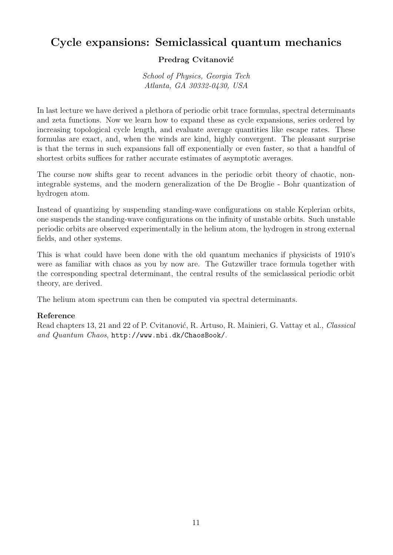# Cycle expansions: Semiclassical quantum mechanics

## Predrag Cvitanović

School of Physics, Georgia Tech Atlanta, GA 30332-0430, USA

In last lecture we have derived a plethora of periodic orbit trace formulas, spectral determinants and zeta functions. Now we learn how to expand these as cycle expansions, series ordered by increasing topological cycle length, and evaluate average quantities like escape rates. These formulas are exact, and, when the winds are kind, highly convergent. The pleasant surprise is that the terms in such expansions fall off exponentially or even faster, so that a handful of shortest orbits suffices for rather accurate estimates of asymptotic averages.

The course now shifts gear to recent advances in the periodic orbit theory of chaotic, nonintegrable systems, and the modern generalization of the De Broglie - Bohr quantization of hydrogen atom.

Instead of quantizing by suspending standing-wave configurations on stable Keplerian orbits, one suspends the standing-wave configurations on the infinity of unstable orbits. Such unstable periodic orbits are observed experimentally in the helium atom, the hydrogen in strong external fields, and other systems.

This is what could have been done with the old quantum mechanics if physicists of 1910's were as familiar with chaos as you by now are. The Gutzwiller trace formula together with the corresponding spectral determinant, the central results of the semiclassical periodic orbit theory, are derived.

The helium atom spectrum can then be computed via spectral determinants.

## Reference

Read chapters 13, 21 and 22 of P. Cvitanović, R. Artuso, R. Mainieri, G. Vattay et al., Classical and Quantum Chaos, http://www.nbi.dk/ChaosBook/.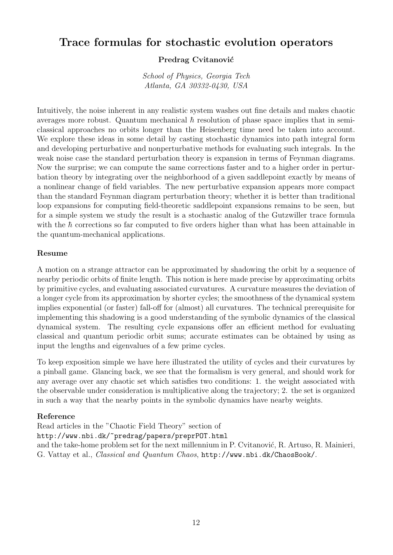# Trace formulas for stochastic evolution operators

## Predrag Cvitanović

School of Physics, Georgia Tech Atlanta, GA 30332-0430, USA

Intuitively, the noise inherent in any realistic system washes out fine details and makes chaotic averages more robust. Quantum mechanical  $\hbar$  resolution of phase space implies that in semiclassical approaches no orbits longer than the Heisenberg time need be taken into account. We explore these ideas in some detail by casting stochastic dynamics into path integral form and developing perturbative and nonperturbative methods for evaluating such integrals. In the weak noise case the standard perturbation theory is expansion in terms of Feynman diagrams. Now the surprise; we can compute the same corrections faster and to a higher order in perturbation theory by integrating over the neighborhood of a given saddlepoint exactly by means of a nonlinear change of field variables. The new perturbative expansion appears more compact than the standard Feynman diagram perturbation theory; whether it is better than traditional loop expansions for computing field-theoretic saddlepoint expansions remains to be seen, but for a simple system we study the result is a stochastic analog of the Gutzwiller trace formula with the  $\hbar$  corrections so far computed to five orders higher than what has been attainable in the quantum-mechanical applications.

#### Resume

A motion on a strange attractor can be approximated by shadowing the orbit by a sequence of nearby periodic orbits of finite length. This notion is here made precise by approximating orbits by primitive cycles, and evaluating associated curvatures. A curvature measures the deviation of a longer cycle from its approximation by shorter cycles; the smoothness of the dynamical system implies exponential (or faster) fall-off for (almost) all curvatures. The technical prerequisite for implementing this shadowing is a good understanding of the symbolic dynamics of the classical dynamical system. The resulting cycle expansions offer an efficient method for evaluating classical and quantum periodic orbit sums; accurate estimates can be obtained by using as input the lengths and eigenvalues of a few prime cycles.

To keep exposition simple we have here illustrated the utility of cycles and their curvatures by a pinball game. Glancing back, we see that the formalism is very general, and should work for any average over any chaotic set which satisfies two conditions: 1. the weight associated with the observable under consideration is multiplicative along the trajectory; 2. the set is organized in such a way that the nearby points in the symbolic dynamics have nearby weights.

#### Reference

Read articles in the "Chaotic Field Theory" section of http://www.nbi.dk/~predrag/papers/preprPOT.html and the take-home problem set for the next millennium in P. Cvitanović, R. Artuso, R. Mainieri, G. Vattay et al., Classical and Quantum Chaos, http://www.nbi.dk/ChaosBook/.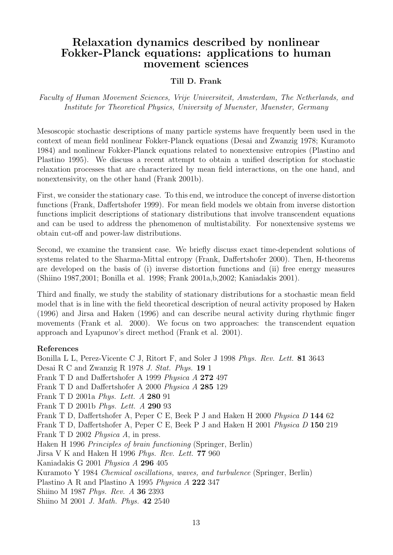# Relaxation dynamics described by nonlinear Fokker-Planck equations: applications to human movement sciences

#### Till D. Frank

Faculty of Human Movement Sciences, Vrije Universiteit, Amsterdam, The Netherlands, and Institute for Theoretical Physics, University of Muenster, Muenster, Germany

Mesoscopic stochastic descriptions of many particle systems have frequently been used in the context of mean field nonlinear Fokker-Planck equations (Desai and Zwanzig 1978; Kuramoto 1984) and nonlinear Fokker-Planck equations related to nonextensive entropies (Plastino and Plastino 1995). We discuss a recent attempt to obtain a unified description for stochastic relaxation processes that are characterized by mean field interactions, on the one hand, and nonextensivity, on the other hand (Frank 2001b).

First, we consider the stationary case. To this end, we introduce the concept of inverse distortion functions (Frank, Daffertshofer 1999). For mean field models we obtain from inverse distortion functions implicit descriptions of stationary distributions that involve transcendent equations and can be used to address the phenomenon of multistability. For nonextensive systems we obtain cut-off and power-law distributions.

Second, we examine the transient case. We briefly discuss exact time-dependent solutions of systems related to the Sharma-Mittal entropy (Frank, Daffertshofer 2000). Then, H-theorems are developed on the basis of (i) inverse distortion functions and (ii) free energy measures (Shiino 1987,2001; Bonilla et al. 1998; Frank 2001a,b,2002; Kaniadakis 2001).

Third and finally, we study the stability of stationary distributions for a stochastic mean field model that is in line with the field theoretical description of neural activity proposed by Haken (1996) and Jirsa and Haken (1996) and can describe neural activity during rhythmic finger movements (Frank et al. 2000). We focus on two approaches: the transcendent equation approach and Lyapunov's direct method (Frank et al. 2001).

#### References

Bonilla L L, Perez-Vicente C J, Ritort F, and Soler J 1998 Phys. Rev. Lett. 81 3643 Desai R C and Zwanzig R 1978 J. Stat. Phys. 19 1 Frank T D and Daffertshofer A 1999 Physica A 272 497 Frank T D and Daffertshofer A 2000 Physica A 285 129 Frank T D 2001a Phys. Lett. A 280 91 Frank T D 2001b Phys. Lett. A 290 93 Frank T D, Daffertshofer A, Peper C E, Beek P J and Haken H 2000 Physica D 144 62 Frank T D, Daffertshofer A, Peper C E, Beek P J and Haken H 2001 Physica D 150 219 Frank T D 2002 *Physica A*, in press. Haken H 1996 Principles of brain functioning (Springer, Berlin) Jirsa V K and Haken H 1996 Phys. Rev. Lett. 77 960 Kaniadakis G 2001 Physica A 296 405 Kuramoto Y 1984 Chemical oscillations, waves, and turbulence (Springer, Berlin) Plastino A R and Plastino A 1995 Physica A 222 347 Shiino M 1987 Phys. Rev. A 36 2393 Shiino M 2001 J. Math. Phys. 42 2540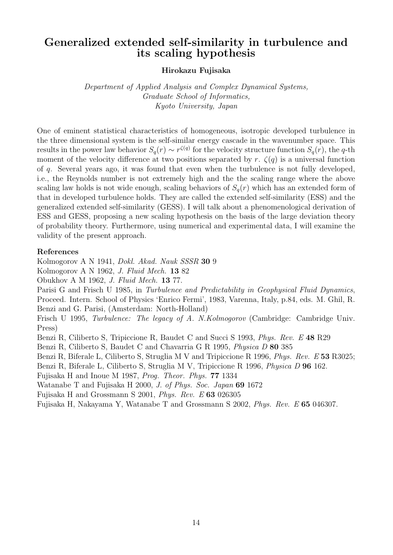# Generalized extended self-similarity in turbulence and its scaling hypothesis

Hirokazu Fujisaka

Department of Applied Analysis and Complex Dynamical Systems, Graduate School of Informatics, Kyoto University, Japan

One of eminent statistical characteristics of homogeneous, isotropic developed turbulence in the three dimensional system is the self-similar energy cascade in the wavenumber space. This results in the power law behavior  $S_q(r) \sim r^{\zeta(q)}$  for the velocity structure function  $S_q(r)$ , the q-th moment of the velocity difference at two positions separated by r.  $\zeta(q)$  is a universal function of q. Several years ago, it was found that even when the turbulence is not fully developed, i.e., the Reynolds number is not extremely high and the the scaling range where the above scaling law holds is not wide enough, scaling behaviors of  $S_q(r)$  which has an extended form of that in developed turbulence holds. They are called the extended self-similarity (ESS) and the generalized extended self-similarity (GESS). I will talk about a phenomenological derivation of ESS and GESS, proposing a new scaling hypothesis on the basis of the large deviation theory of probability theory. Furthermore, using numerical and experimental data, I will examine the validity of the present approach.

#### References

Kolmogorov A N 1941, Dokl. Akad. Nauk SSSR 30 9

Kolmogorov A N 1962, J. Fluid Mech. 13 82

Obukhov A M 1962, J. Fluid Mech. 13 77.

Parisi G and Frisch U 1985, in Turbulence and Predictability in Geophysical Fluid Dynamics, Proceed. Intern. School of Physics 'Enrico Fermi', 1983, Varenna, Italy, p.84, eds. M. Ghil, R. Benzi and G. Parisi, (Amsterdam: North-Holland)

Frisch U 1995, Turbulence: The legacy of A. N.Kolmogorov (Cambridge: Cambridge Univ. Press)

Benzi R, Ciliberto S, Tripiccione R, Baudet C and Succi S 1993, Phys. Rev. E 48 R29

Benzi R, Ciliberto S, Baudet C and Chavarria G R 1995, Physica D 80 385

Benzi R, Biferale L, Ciliberto S, Struglia M V and Tripiccione R 1996, Phys. Rev. E 53 R3025;

Benzi R, Biferale L, Ciliberto S, Struglia M V, Tripiccione R 1996, Physica D 96 162.

Fujisaka H and Inoue M 1987, Prog. Theor. Phys. 77 1334

Watanabe T and Fujisaka H 2000, J. of Phys. Soc. Japan 69 1672

Fujisaka H and Grossmann S 2001, Phys. Rev. E 63 026305

Fujisaka H, Nakayama Y, Watanabe T and Grossmann S 2002, Phys. Rev. E 65 046307.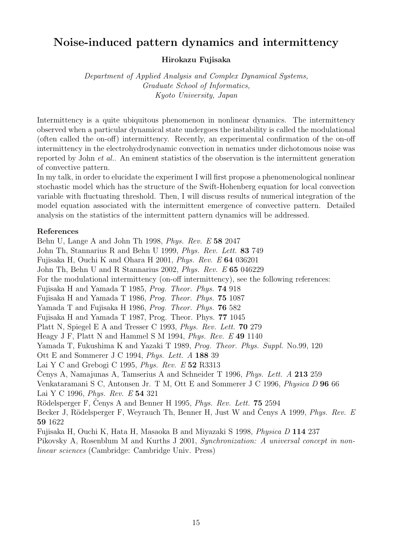# Noise-induced pattern dynamics and intermittency

## Hirokazu Fujisaka

Department of Applied Analysis and Complex Dynamical Systems, Graduate School of Informatics, Kyoto University, Japan

Intermittency is a quite ubiquitous phenomenon in nonlinear dynamics. The intermittency observed when a particular dynamical state undergoes the instability is called the modulational (often called the on-off) intermittency. Recently, an experimental confirmation of the on-off intermittency in the electrohydrodynamic convection in nematics under dichotomous noise was reported by John et al.. An eminent statistics of the observation is the intermittent generation of convective pattern.

In my talk, in order to elucidate the experiment I will first propose a phenomenological nonlinear stochastic model which has the structure of the Swift-Hohenberg equation for local convection variable with fluctuating threshold. Then, I will discuss results of numerical integration of the model equation associated with the intermittent emergence of convective pattern. Detailed analysis on the statistics of the intermittent pattern dynamics will be addressed.

## References

Behn U, Lange A and John Th 1998, Phys. Rev. E 58 2047 John Th, Stannarius R and Behn U 1999, Phys. Rev. Lett. 83 749 Fujisaka H, Ouchi K and Ohara H 2001, Phys. Rev. E 64 036201 John Th, Behn U and R Stannarius 2002, Phys. Rev. E 65 046229 For the modulational intermittency (on-off intermittency), see the following references: Fujisaka H and Yamada T 1985, Prog. Theor. Phys. 74 918 Fujisaka H and Yamada T 1986, Prog. Theor. Phys. 75 1087 Yamada T and Fujisaka H 1986, Prog. Theor. Phys. 76 582 Fujisaka H and Yamada T 1987, Prog. Theor. Phys. 77 1045 Platt N, Spiegel E A and Tresser C 1993, Phys. Rev. Lett. 70 279 Heagy J F, Platt N and Hammel S M 1994, Phys. Rev. E 49 1140 Yamada T, Fukushima K and Yazaki T 1989, Prog. Theor. Phys. Suppl. No.99, 120 Ott E and Sommerer J C 1994, Phys. Lett. A 188 39 Lai Y C and Grebogi C 1995, Phys. Rev.  $E$  52 R3313 Cenys A, Namajunas A, Tamserius A and Schneider T 1996, *Phys. Lett.* A 213 259 Venkataramani S C, Antonsen Jr. T M, Ott E and Sommerer J C 1996, Physica D 96 66 Lai Y C 1996, Phys. Rev. E 54 321 Rödelsperger F, Cenys A and Benner H 1995, *Phys. Rev. Lett.* **75** 2594 Becker J, Rödelsperger F, Weyrauch Th, Benner H, Just W and Cenys A 1999, *Phys. Rev. E* 59 1622 Fujisaka H, Ouchi K, Hata H, Masaoka B and Miyazaki S 1998, Physica D 114 237 Pikovsky A, Rosenblum M and Kurths J 2001, Synchronization: A universal concept in non-

linear sciences (Cambridge: Cambridge Univ. Press)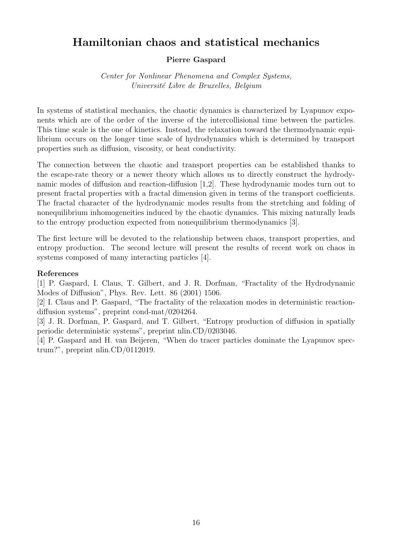# Hamiltonian chaos and statistical mechanics

## Pierre Gaspard

Center for Nonlinear Phenomena and Complex Systems, Université Libre de Bruxelles, Belgium

In systems of statistical mechanics, the chaotic dynamics is characterized by Lyapunov exponents which are of the order of the inverse of the intercollisional time between the particles. This time scale is the one of kinetics. Instead, the relaxation toward the thermodynamic equilibrium occurs on the longer time scale of hydrodynamics which is determined by transport properties such as diffusion, viscosity, or heat conductivity.

The connection between the chaotic and transport properties can be established thanks to the escape-rate theory or a newer theory which allows us to directly construct the hydrodynamic modes of diffusion and reaction-diffusion [1,2]. These hydrodynamic modes turn out to present fractal properties with a fractal dimension given in terms of the transport coefficients. The fractal character of the hydrodynamic modes results from the stretching and folding of nonequilibrium inhomogeneities induced by the chaotic dynamics. This mixing naturally leads to the entropy production expected from nonequilibrium thermodynamics [3].

The first lecture will be devoted to the relationship between chaos, transport properties, and entropy production. The second lecture will present the results of recent work on chaos in systems composed of many interacting particles [4].

#### References

[1] P. Gaspard, I. Claus, T. Gilbert, and J. R. Dorfman, "Fractality of the Hydrodynamic Modes of Diffusion", Phys. Rev. Lett. 86 (2001) 1506.

[2] I. Claus and P. Gaspard, "The fractality of the relaxation modes in deterministic reactiondiffusion systems", preprint cond-mat/0204264.

[3] J. R. Dorfman, P. Gaspard, and T. Gilbert, "Entropy production of diffusion in spatially periodic deterministic systems", preprint nlin.CD/0203046.

[4] P. Gaspard and H. van Beijeren, "When do tracer particles dominate the Lyapunov spectrum?", preprint nlin.CD/0112019.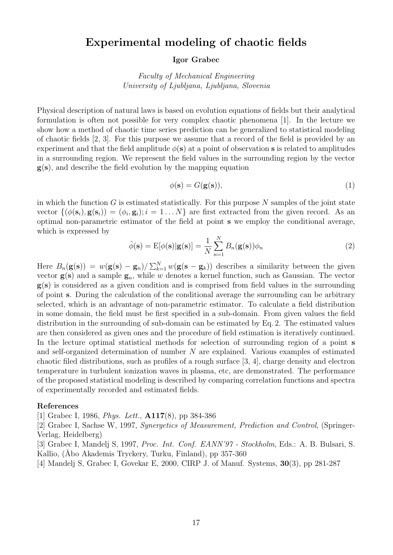# Experimental modeling of chaotic fields

#### Igor Grabec

Faculty of Mechanical Engineering University of Ljubljana, Ljubljana, Slovenia

Physical description of natural laws is based on evolution equations of fields but their analytical formulation is often not possible for very complex chaotic phenomena [1]. In the lecture we show how a method of chaotic time series prediction can be generalized to statistical modeling of chaotic fields [2, 3]. For this purpose we assume that a record of the field is provided by an experiment and that the field amplitude  $\phi(s)$  at a point of observation s is related to amplitudes in a surrounding region. We represent the field values in the surrounding region by the vector  $g(s)$ , and describe the field evolution by the mapping equation

$$
\phi(\mathbf{s}) = G(\mathbf{g}(\mathbf{s})),\tag{1}
$$

in which the function  $G$  is estimated statistically. For this purpose  $N$  samples of the joint state vector  $\{\phi(\mathbf{s}_i), \mathbf{g}(\mathbf{s}_i)\} = \{\phi_i, \mathbf{g}_i\}; i = 1...N\}$  are first extracted from the given record. As an optimal non-parametric estimator of the field at point s we employ the conditional average, which is expressed by

$$
\hat{\phi}(\mathbf{s}) = \mathbf{E}[\phi(\mathbf{s})|\mathbf{g}(\mathbf{s})] = \frac{1}{N} \sum_{n=1}^{N} B_n(\mathbf{g}(\mathbf{s})) \phi_n \tag{2}
$$

Here  $B_n(\mathbf{g(s)}) = w(\mathbf{g(s)} - \mathbf{g}_n)/\sum_{k=1}^N w(\mathbf{g(s-g_k)})$  describes a similarity between the given vector  $g(s)$  and a sample  $g_n$ , while w denotes a kernel function, such as Gaussian. The vector g(s) is considered as a given condition and is comprised from field values in the surrounding of point s. During the calculation of the conditional average the surrounding can be arbitrary selected, which is an advantage of non-parametric estimator. To calculate a field distribution in some domain, the field must be first specified in a sub-domain. From given values the field distribution in the surrounding of sub-domain can be estimated by Eq. 2. The estimated values are then considered as given ones and the procedure of field estimation is iteratively continued. In the lecture optimal statistical methods for selection of surrounding region of a point s and self-organized determination of number N are explained. Various examples of estimated chaotic filed distributions, such as profiles of a rough surface [3, 4], charge density and electron temperature in turbulent ionization waves in plasma, etc, are demonstrated. The performance of the proposed statistical modeling is described by comparing correlation functions and spectra of experimentally recorded and estimated fields.

#### References

[1] Grabec I, 1986, Phys. Lett., A117(8), pp 384-386

[2] Grabec I, Sachse W, 1997, Synergetics of Measurement, Prediction and Control, (Springer-Verlag, Heidelberg)

[3] Grabec I, Mandelj S, 1997, Proc. Int. Conf. EANN'97 - Stockholm, Eds.: A. B. Bulsari, S. Kallio, (Åbo Akademis Tryckery, Turku, Finland), pp 357-360

[4] Mandelj S, Grabec I, Govekar E, 2000, CIRP J. of Manuf. Systems, 30(3), pp 281-287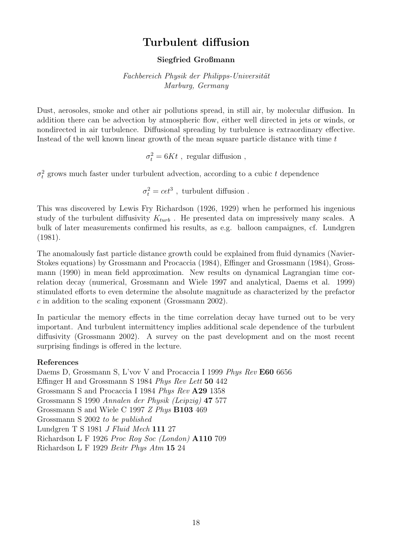# Turbulent diffusion

## Siegfried Großmann

Fachbereich Physik der Philipps-Universität Marburg, Germany

Dust, aerosoles, smoke and other air pollutions spread, in still air, by molecular diffusion. In addition there can be advection by atmospheric flow, either well directed in jets or winds, or nondirected in air turbulence. Diffusional spreading by turbulence is extraordinary effective. Instead of the well known linear growth of the mean square particle distance with time  $t$ 

 $\sigma_t^2 = 6Kt$ , regular diffusion,

 $\sigma_t^2$  grows much faster under turbulent advection, according to a cubic t dependence

 $\sigma_t^2 = c \epsilon t^3$ , turbulent diffusion.

This was discovered by Lewis Fry Richardson (1926, 1929) when he performed his ingenious study of the turbulent diffusivity  $K_{turb}$ . He presented data on impressively many scales. A bulk of later measurements confirmed his results, as e.g. balloon campaignes, cf. Lundgren (1981).

The anomalously fast particle distance growth could be explained from fluid dynamics (Navier-Stokes equations) by Grossmann and Procaccia (1984), Effinger and Grossmann (1984), Grossmann (1990) in mean field approximation. New results on dynamical Lagrangian time correlation decay (numerical, Grossmann and Wiele 1997 and analytical, Daems et al. 1999) stimulated efforts to even determine the absolute magnitude as characterized by the prefactor c in addition to the scaling exponent (Grossmann 2002).

In particular the memory effects in the time correlation decay have turned out to be very important. And turbulent intermittency implies additional scale dependence of the turbulent diffusivity (Grossmann 2002). A survey on the past development and on the most recent surprising findings is offered in the lecture.

## References

Daems D, Grossmann S, L'vov V and Procaccia I 1999 Phys Rev E60 6656 Effinger H and Grossmann S 1984 Phys Rev Lett 50 442 Grossmann S and Procaccia I 1984 Phys Rev A29 1358 Grossmann S 1990 Annalen der Physik (Leipzig) 47 577 Grossmann S and Wiele C 1997 Z Phys B103 469 Grossmann S 2002 to be published Lundgren T S 1981 J Fluid Mech 111 27 Richardson L F 1926 Proc Roy Soc (London) A110 709 Richardson L F 1929 Beitr Phys Atm 15 24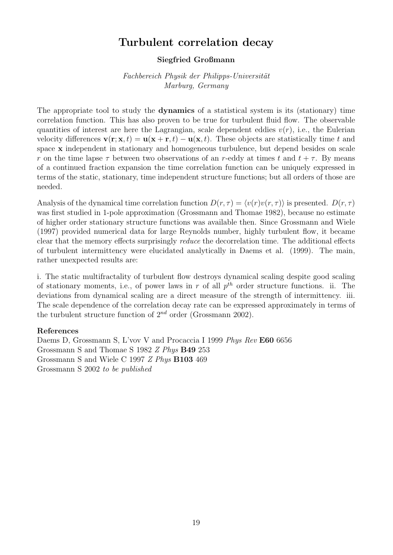# Turbulent correlation decay

#### Siegfried Großmann

Fachbereich Physik der Philipps-Universität Marburg, Germany

The appropriate tool to study the dynamics of a statistical system is its (stationary) time correlation function. This has also proven to be true for turbulent fluid flow. The observable quantities of interest are here the Lagrangian, scale dependent eddies  $v(r)$ , i.e., the Eulerian velocity differences  $\mathbf{v}(\mathbf{r}; \mathbf{x}, t) = \mathbf{u}(\mathbf{x} + \mathbf{r}, t) - \mathbf{u}(\mathbf{x}, t)$ . These objects are statistically time t and space x independent in stationary and homogeneous turbulence, but depend besides on scale r on the time lapse  $\tau$  between two observations of an r-eddy at times t and  $t + \tau$ . By means of a continued fraction expansion the time correlation function can be uniquely expressed in terms of the static, stationary, time independent structure functions; but all orders of those are needed.

Analysis of the dynamical time correlation function  $D(r, \tau) = \langle v(r)v(r, \tau) \rangle$  is presented.  $D(r, \tau)$ was first studied in 1-pole approximation (Grossmann and Thomae 1982), because no estimate of higher order stationary structure functions was available then. Since Grossmann and Wiele (1997) provided numerical data for large Reynolds number, highly turbulent flow, it became clear that the memory effects surprisingly reduce the decorrelation time. The additional effects of turbulent intermittency were elucidated analytically in Daems et al. (1999). The main, rather unexpected results are:

i. The static multifractality of turbulent flow destroys dynamical scaling despite good scaling of stationary moments, i.e., of power laws in r of all  $p^{th}$  order structure functions. ii. The deviations from dynamical scaling are a direct measure of the strength of intermittency. iii. The scale dependence of the correlation decay rate can be expressed approximately in terms of the turbulent structure function of  $2^{nd}$  order (Grossmann 2002).

#### References

Daems D, Grossmann S, L'vov V and Procaccia I 1999 Phys Rev E60 6656 Grossmann S and Thomae S 1982 Z Phys B49 253 Grossmann S and Wiele C 1997 Z Phys B103 469 Grossmann S 2002 to be published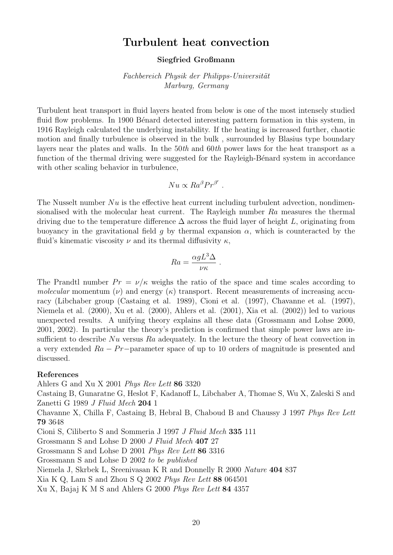# Turbulent heat convection

#### Siegfried Großmann

Fachbereich Physik der Philipps-Universität Marburg, Germany

Turbulent heat transport in fluid layers heated from below is one of the most intensely studied fluid flow problems. In 1900 Bénard detected interesting pattern formation in this system, in 1916 Rayleigh calculated the underlying instability. If the heating is increased further, chaotic motion and finally turbulence is observed in the bulk , surrounded by Blasius type boundary layers near the plates and walls. In the 50th and 60th power laws for the heat transport as a function of the thermal driving were suggested for the Rayleigh-Bénard system in accordance with other scaling behavior in turbulence,

$$
Nu \propto Ra^{\beta}Pr^{\beta'}.
$$

The Nusselt number  $Nu$  is the effective heat current including turbulent advection, nondimensionalised with the molecular heat current. The Rayleigh number Ra measures the thermal driving due to the temperature difference  $\Delta$  across the fluid layer of height L, originating from buoyancy in the gravitational field g by thermal expansion  $\alpha$ , which is counteracted by the fluid's kinematic viscosity  $\nu$  and its thermal diffusivity  $\kappa$ ,

$$
Ra = \frac{\alpha g L^3 \Delta}{\nu \kappa} \; .
$$

The Prandtl number  $Pr = \nu/\kappa$  weighs the ratio of the space and time scales according to molecular momentum  $(\nu)$  and energy  $(\kappa)$  transport. Recent measurements of increasing accuracy (Libchaber group (Castaing et al. 1989), Cioni et al. (1997), Chavanne et al. (1997), Niemela et al. (2000), Xu et al. (2000), Ahlers et al. (2001), Xia et al. (2002)) led to various unexpected results. A unifying theory explains all these data (Grossmann and Lohse 2000, 2001, 2002). In particular the theory's prediction is confirmed that simple power laws are insufficient to describe Nu versus Ra adequately. In the lecture the theory of heat convection in a very extended  $Ra - Pr$  - parameter space of up to 10 orders of magnitude is presented and discussed.

#### References

Ahlers G and Xu X 2001 Phys Rev Lett 86 3320 Castaing B, Gunaratne G, Heslot F, Kadanoff L, Libchaber A, Thomae S, Wu X, Zaleski S and Zanetti G 1989 J Fluid Mech 204 1 Chavanne X, Chilla F, Castaing B, Hebral B, Chaboud B and Chaussy J 1997 Phys Rev Lett 79 3648 Cioni S, Ciliberto S and Sommeria J 1997 J Fluid Mech 335 111 Grossmann S and Lohse D 2000 J Fluid Mech 407 27 Grossmann S and Lohse D 2001 Phys Rev Lett 86 3316 Grossmann S and Lohse D 2002 to be published Niemela J, Skrbek L, Sreenivasan K R and Donnelly R 2000 Nature 404 837 Xia K Q, Lam S and Zhou S Q 2002 Phys Rev Lett 88 064501

Xu X, Bajaj K M S and Ahlers G 2000 Phys Rev Lett 84 4357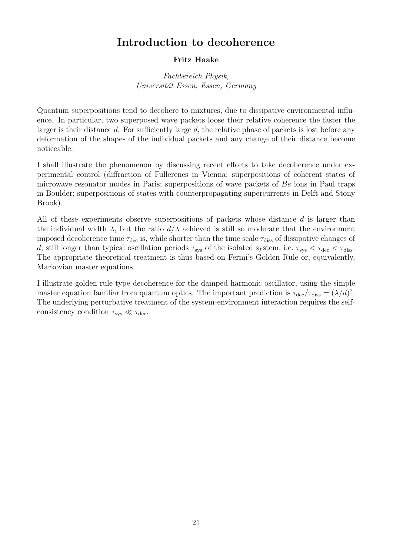# Introduction to decoherence

## Fritz Haake

Fachbereich Physik, Universität Essen, Essen, Germany

Quantum superpositions tend to decohere to mixtures, due to dissipative environmental influence. In particular, two superposed wave packets loose their relative coherence the faster the larger is their distance d. For sufficiently large d, the relative phase of packets is lost before any deformation of the shapes of the individual packets and any change of their distance become noticeable.

I shall illustrate the phenomenon by discussing recent efforts to take decoherence under experimental control (diffraction of Fullerenes in Vienna; superpositions of coherent states of microwave resonator modes in Paris; superpositions of wave packets of Be ions in Paul traps in Boulder; superpositions of states with counterpropagating supercurrents in Delft and Stony Brook).

All of these experiments observe superpositions of packets whose distance d is larger than the individual width  $\lambda$ , but the ratio  $d/\lambda$  achieved is still so moderate that the environment imposed decoherence time  $\tau_{\text{dec}}$  is, while shorter than the time scale  $\tau_{\text{diss}}$  of dissipative changes of d, still longer than typical oscillation periods  $\tau_{sys}$  of the isolated system, i.e.  $\tau_{sys} < \tau_{dec} < \tau_{diss}$ . The appropriate theoretical treatment is thus based on Fermi's Golden Rule or, equivalently, Markovian master equations.

I illustrate golden rule type decoherence for the damped harmonic oscillator, using the simple master equation familiar from quantum optics. The important prediction is  $\tau_{\rm dec}/\tau_{\rm diss} = (\lambda/d)^2$ . The underlying perturbative treatment of the system-environment interaction requires the selfconsistency condition  $\tau_{sys} \ll \tau_{dec}$ .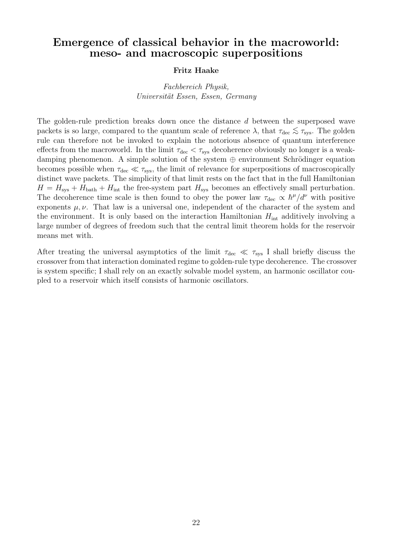# Emergence of classical behavior in the macroworld: meso- and macroscopic superpositions

#### Fritz Haake

Fachbereich Physik, Universität Essen, Essen, Germany

The golden-rule prediction breaks down once the distance d between the superposed wave packets is so large, compared to the quantum scale of reference  $\lambda$ , that  $\tau_{\text{dec}} \lesssim \tau_{\text{sys}}$ . The golden rule can therefore not be invoked to explain the notorious absence of quantum interference effects from the macroworld. In the limit  $\tau_{\text{dec}} < \tau_{\text{sys}}$  decoherence obviously no longer is a weakdamping phenomenon. A simple solution of the system  $\oplus$  environment Schrödinger equation becomes possible when  $\tau_{\text{dec}} \ll \tau_{\text{sys}}$ , the limit of relevance for superpositions of macroscopically distinct wave packets. The simplicity of that limit rests on the fact that in the full Hamiltonian  $H = H_{\text{sys}} + H_{\text{bath}} + H_{\text{int}}$  the free-system part  $H_{\text{sys}}$  becomes an effectively small perturbation. The decoherence time scale is then found to obey the power law  $\tau_{\text{dec}} \propto \hbar^{\mu}/d^{\nu}$  with positive exponents  $\mu, \nu$ . That law is a universal one, independent of the character of the system and the environment. It is only based on the interaction Hamiltonian  $H_{int}$  additively involving a large number of degrees of freedom such that the central limit theorem holds for the reservoir means met with.

After treating the universal asymptotics of the limit  $\tau_{\text{dec}} \ll \tau_{\text{sys}}$  I shall briefly discuss the crossover from that interaction dominated regime to golden-rule type decoherence. The crossover is system specific; I shall rely on an exactly solvable model system, an harmonic oscillator coupled to a reservoir which itself consists of harmonic oscillators.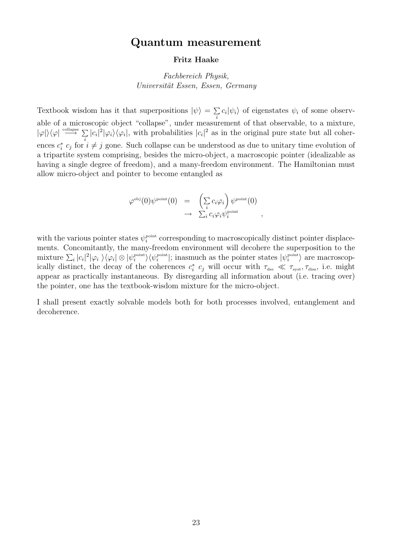## Quantum measurement

#### Fritz Haake

## Fachbereich Physik, Universität Essen, Essen, Germany

Textbook wisdom has it that superpositions  $|\psi\rangle = \sum c_i |\psi_i\rangle$  of eigenstates  $\psi_i$  of some observable of a microscopic object "collapse", under measurement of that observable, to a mixture,  $|\varphi\rangle\langle\varphi| \stackrel{\text{collapse}}{\longrightarrow} \Sigma |c_i|^2 |\varphi_i\rangle\langle\varphi_i|$ , with probabilities  $|c_i|^2$  as in the original pure state but all coherences  $c_i^* c_j$  for  $i \neq j$  for  $i \neq j$  gone. Such collapse can be understood as due to unitary time evolution of a tripartite system comprising, besides the micro-object, a macroscopic pointer (idealizable as having a single degree of freedom), and a many-freedom environment. The Hamiltonian must allow micro-object and pointer to become entangled as

$$
\varphi^{\text{obj}}(0)\psi^{\text{point}}(0) = \left(\sum_{i} c_{i}\varphi_{i}\right)\psi^{\text{point}}(0) \n\rightarrow \sum_{i} c_{i}\varphi_{i}\psi^{\text{point}}_{i},
$$

with the various pointer states  $\psi_i^{\text{point}}$  corresponding to macroscopically distinct pointer displacements. Concomitantly, the many-freedom environment will decohere the superposition to the mixture  $\sum_i |c_i|^2 |\varphi_i\rangle \langle \varphi_i| \otimes |\psi_i^{\text{point}}\rangle \langle \psi_i^{\text{point}}|$ ; inasmuch as the pointer states  $|\psi_i^{\text{point}}\rangle$  are macroscopically distinct, the decay of the coherences  $c_i^*$ <sup>\*</sup><sub>*i*</sub>  $c_j$  will occur with  $\tau_{\text{dec}} \ll \tau_{\text{syst}}, \tau_{\text{diss}}$ , i.e. might appear as practically instantaneous. By disregarding all information about (i.e. tracing over) the pointer, one has the textbook-wisdom mixture for the micro-object.

I shall present exactly solvable models both for both processes involved, entanglement and decoherence.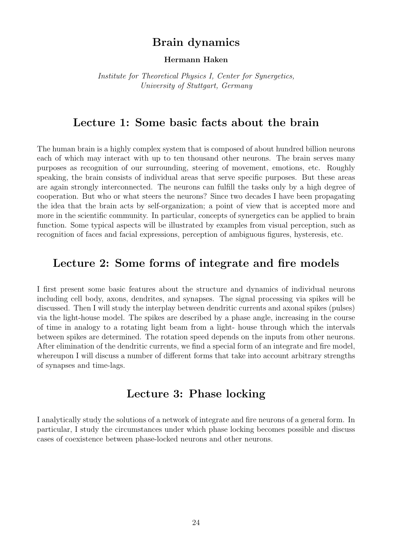# Brain dynamics

#### Hermann Haken

Institute for Theoretical Physics I, Center for Synergetics, University of Stuttgart, Germany

## Lecture 1: Some basic facts about the brain

The human brain is a highly complex system that is composed of about hundred billion neurons each of which may interact with up to ten thousand other neurons. The brain serves many purposes as recognition of our surrounding, steering of movement, emotions, etc. Roughly speaking, the brain consists of individual areas that serve specific purposes. But these areas are again strongly interconnected. The neurons can fulfill the tasks only by a high degree of cooperation. But who or what steers the neurons? Since two decades I have been propagating the idea that the brain acts by self-organization; a point of view that is accepted more and more in the scientific community. In particular, concepts of synergetics can be applied to brain function. Some typical aspects will be illustrated by examples from visual perception, such as recognition of faces and facial expressions, perception of ambiguous figures, hysteresis, etc.

## Lecture 2: Some forms of integrate and fire models

I first present some basic features about the structure and dynamics of individual neurons including cell body, axons, dendrites, and synapses. The signal processing via spikes will be discussed. Then I will study the interplay between dendritic currents and axonal spikes (pulses) via the light-house model. The spikes are described by a phase angle, increasing in the course of time in analogy to a rotating light beam from a light- house through which the intervals between spikes are determined. The rotation speed depends on the inputs from other neurons. After elimination of the dendritic currents, we find a special form of an integrate and fire model, whereupon I will discuss a number of different forms that take into account arbitrary strengths of synapses and time-lags.

# Lecture 3: Phase locking

I analytically study the solutions of a network of integrate and fire neurons of a general form. In particular, I study the circumstances under which phase locking becomes possible and discuss cases of coexistence between phase-locked neurons and other neurons.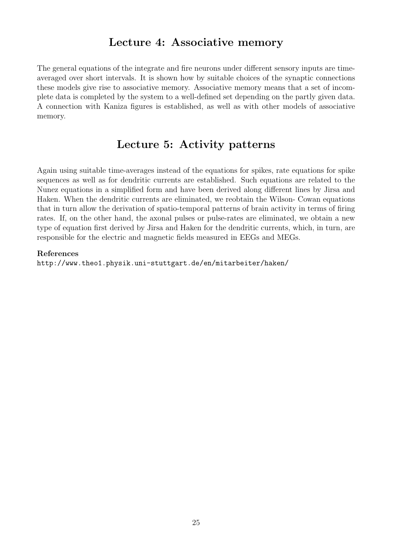# Lecture 4: Associative memory

The general equations of the integrate and fire neurons under different sensory inputs are timeaveraged over short intervals. It is shown how by suitable choices of the synaptic connections these models give rise to associative memory. Associative memory means that a set of incomplete data is completed by the system to a well-defined set depending on the partly given data. A connection with Kaniza figures is established, as well as with other models of associative memory.

# Lecture 5: Activity patterns

Again using suitable time-averages instead of the equations for spikes, rate equations for spike sequences as well as for dendritic currents are established. Such equations are related to the Nunez equations in a simplified form and have been derived along different lines by Jirsa and Haken. When the dendritic currents are eliminated, we reobtain the Wilson- Cowan equations that in turn allow the derivation of spatio-temporal patterns of brain activity in terms of firing rates. If, on the other hand, the axonal pulses or pulse-rates are eliminated, we obtain a new type of equation first derived by Jirsa and Haken for the dendritic currents, which, in turn, are responsible for the electric and magnetic fields measured in EEGs and MEGs.

#### References

http://www.theo1.physik.uni-stuttgart.de/en/mitarbeiter/haken/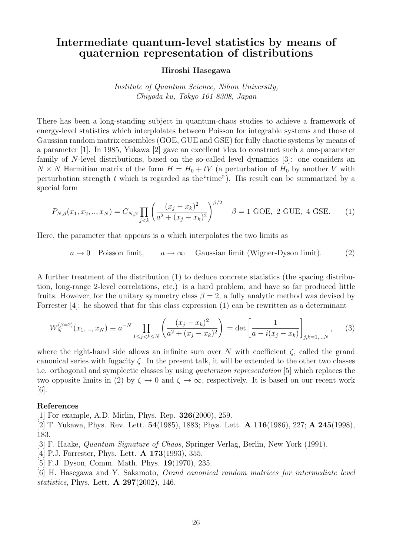# Intermediate quantum-level statistics by means of quaternion representation of distributions

#### Hiroshi Hasegawa

Institute of Quantum Science, Nihon University, Chiyoda-ku, Tokyo 101-8308, Japan

There has been a long-standing subject in quantum-chaos studies to achieve a framework of energy-level statistics which interplolates between Poisson for integrable systems and those of Gaussian random matrix ensembles (GOE, GUE and GSE) for fully chaotic systems by means of a parameter [1]. In 1985, Yukawa [2] gave an excellent idea to construct such a one-parameter family of N-level distributions, based on the so-called level dynamics [3]: one considers an  $N \times N$  Hermitian matrix of the form  $H = H_0 + tV$  (a perturbation of  $H_0$  by another V with perturbation strength  $t$  which is regarded as the "time"). His result can be summarized by a special form

$$
P_{N,\beta}(x_1, x_2, ..., x_N) = C_{N,\beta} \prod_{j < k} \left( \frac{(x_j - x_k)^2}{a^2 + (x_j - x_k)^2} \right)^{\beta/2} \quad \beta = 1 \text{ GOE, 2 GUE, 4 GSE.} \tag{1}
$$

Here, the parameter that appears is  $\alpha$  which interpolates the two limits as

 $a \to 0$  Poisson limit,  $a \to \infty$  Gaussian limit (Wigner-Dyson limit). (2)

A further treatment of the distribution (1) to deduce concrete statistics (the spacing distribution, long-range 2-level correlations, etc.) is a hard problem, and have so far produced little fruits. However, for the unitary symmetry class  $\beta = 2$ , a fully analytic method was devised by Forrester [4]: he showed that for this class expression (1) can be rewritten as a determinant

$$
W_N^{(\beta=2)}(x_1,..,x_N) \equiv a^{-N} \prod_{1 \le j < k \le N} \left( \frac{(x_j - x_k)^2}{a^2 + (x_j - x_k)^2} \right) = \det \left[ \frac{1}{a - i(x_j - x_k)} \right]_{j,k=1,..,N},\tag{3}
$$

where the right-hand side allows an infinite sum over N with coefficient  $\zeta$ , called the grand canonical series with fugacity  $\zeta$ . In the present talk, it will be extended to the other two classes i.e. orthogonal and symplectic classes by using quaternion representation [5] which replaces the two opposite limits in (2) by  $\zeta \to 0$  and  $\zeta \to \infty$ , respectively. It is based on our recent work [6].

#### References

[1] For example, A.D. Mirlin, Phys. Rep. 326(2000), 259.

[2] T. Yukawa, Phys. Rev. Lett. 54(1985), 1883; Phys. Lett. A 116(1986), 227; A 245(1998), 183.

[3] F. Haake, Quantum Signature of Chaos, Springer Verlag, Berlin, New York (1991).

[4] P.J. Forrester, Phys. Lett. **A 173**(1993), 355.

[5] F.J. Dyson, Comm. Math. Phys. **19**(1970), 235.

[6] H. Hasegawa and Y. Sakamoto, Grand canonical random matrices for intermediate level statistics, Phys. Lett. A 297(2002), 146.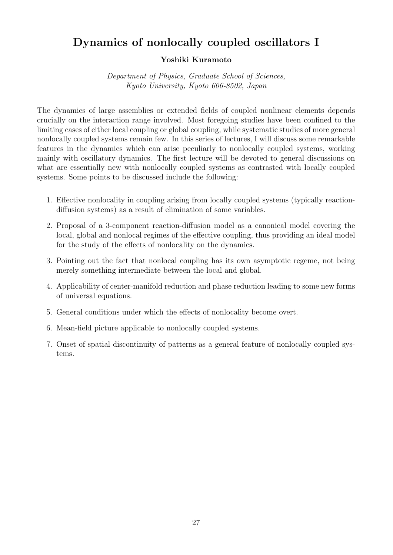# Dynamics of nonlocally coupled oscillators I

## Yoshiki Kuramoto

Department of Physics, Graduate School of Sciences, Kyoto University, Kyoto 606-8502, Japan

The dynamics of large assemblies or extended fields of coupled nonlinear elements depends crucially on the interaction range involved. Most foregoing studies have been confined to the limiting cases of either local coupling or global coupling, while systematic studies of more general nonlocally coupled systems remain few. In this series of lectures, I will discuss some remarkable features in the dynamics which can arise peculiarly to nonlocally coupled systems, working mainly with oscillatory dynamics. The first lecture will be devoted to general discussions on what are essentially new with nonlocally coupled systems as contrasted with locally coupled systems. Some points to be discussed include the following:

- 1. Effective nonlocality in coupling arising from locally coupled systems (typically reactiondiffusion systems) as a result of elimination of some variables.
- 2. Proposal of a 3-component reaction-diffusion model as a canonical model covering the local, global and nonlocal regimes of the effective coupling, thus providing an ideal model for the study of the effects of nonlocality on the dynamics.
- 3. Pointing out the fact that nonlocal coupling has its own asymptotic regeme, not being merely something intermediate between the local and global.
- 4. Applicability of center-manifold reduction and phase reduction leading to some new forms of universal equations.
- 5. General conditions under which the effects of nonlocality become overt.
- 6. Mean-field picture applicable to nonlocally coupled systems.
- 7. Onset of spatial discontinuity of patterns as a general feature of nonlocally coupled systems.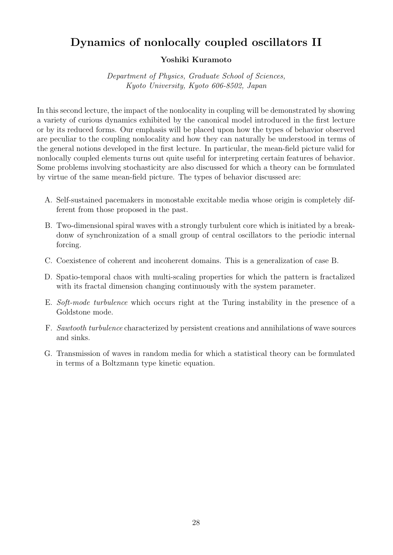# Dynamics of nonlocally coupled oscillators II

## Yoshiki Kuramoto

Department of Physics, Graduate School of Sciences, Kyoto University, Kyoto 606-8502, Japan

In this second lecture, the impact of the nonlocality in coupling will be demonstrated by showing a variety of curious dynamics exhibited by the canonical model introduced in the first lecture or by its reduced forms. Our emphasis will be placed upon how the types of behavior observed are peculiar to the coupling nonlocality and how they can naturally be understood in terms of the general notions developed in the first lecture. In particular, the mean-field picture valid for nonlocally coupled elements turns out quite useful for interpreting certain features of behavior. Some problems involving stochasticity are also discussed for which a theory can be formulated by virtue of the same mean-field picture. The types of behavior discussed are:

- A. Self-sustained pacemakers in monostable excitable media whose origin is completely different from those proposed in the past.
- B. Two-dimensional spiral waves with a strongly turbulent core which is initiated by a breakdonw of synchronization of a small group of central oscillators to the periodic internal forcing.
- C. Coexistence of coherent and incoherent domains. This is a generalization of case B.
- D. Spatio-temporal chaos with multi-scaling properties for which the pattern is fractalized with its fractal dimension changing continuously with the system parameter.
- E. Soft-mode turbulence which occurs right at the Turing instability in the presence of a Goldstone mode.
- F. Sawtooth turbulence characterized by persistent creations and annihilations of wave sources and sinks.
- G. Transmission of waves in random media for which a statistical theory can be formulated in terms of a Boltzmann type kinetic equation.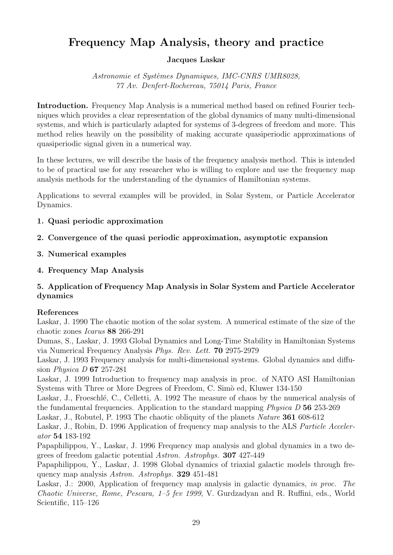# Frequency Map Analysis, theory and practice

## Jacques Laskar

Astronomie et Systèmes Dynamiques, IMC-CNRS UMR8028, 77 Av. Denfert-Rochereau, 75014 Paris, France

Introduction. Frequency Map Analysis is a numerical method based on refined Fourier techniques which provides a clear representation of the global dynamics of many multi-dimensional systems, and which is particularly adapted for systems of 3-degrees of freedom and more. This method relies heavily on the possibility of making accurate quasiperiodic approximations of quasiperiodic signal given in a numerical way.

In these lectures, we will describe the basis of the frequency analysis method. This is intended to be of practical use for any researcher who is willing to explore and use the frequency map analysis methods for the understanding of the dynamics of Hamiltonian systems.

Applications to several examples will be provided, in Solar System, or Particle Accelerator Dynamics.

## 1. Quasi periodic approximation

## 2. Convergence of the quasi periodic approximation, asymptotic expansion

- 3. Numerical examples
- 4. Frequency Map Analysis

## 5. Application of Frequency Map Analysis in Solar System and Particle Accelerator dynamics

## References

Laskar, J. 1990 The chaotic motion of the solar system. A numerical estimate of the size of the chaotic zones Icarus 88 266-291

Dumas, S., Laskar, J. 1993 Global Dynamics and Long-Time Stability in Hamiltonian Systems via Numerical Frequency Analysis Phys. Rev. Lett. 70 2975-2979

Laskar, J. 1993 Frequency analysis for multi-dimensional systems. Global dynamics and diffusion Physica D 67 257-281

Laskar, J. 1999 Introduction to frequency map analysis in proc. of NATO ASI Hamiltonian Systems with Three or More Degrees of Freedom, C. Simo ed, Kluwer 134-150

Laskar, J., Froeschlé, C., Celletti, A. 1992 The measure of chaos by the numerical analysis of the fundamental frequencies. Application to the standard mapping Physica D 56 253-269

Laskar, J., Robutel, P. 1993 The chaotic obliquity of the planets Nature 361 608-612

Laskar, J., Robin, D. 1996 Application of frequency map analysis to the ALS Particle Accelerator 54 183-192

Papaphilippou, Y., Laskar, J. 1996 Frequency map analysis and global dynamics in a two degrees of freedom galactic potential Astron. Astrophys. 307 427-449

Papaphilippou, Y., Laskar, J. 1998 Global dynamics of triaxial galactic models through frequency map analysis Astron. Astrophys. 329 451-481

Laskar, J.: 2000, Application of frequency map analysis in galactic dynamics, in proc. The Chaotic Universe, Rome, Pescara, 1–5 fev 1999, V. Gurdzadyan and R. Ruffini, eds., World Scientific, 115–126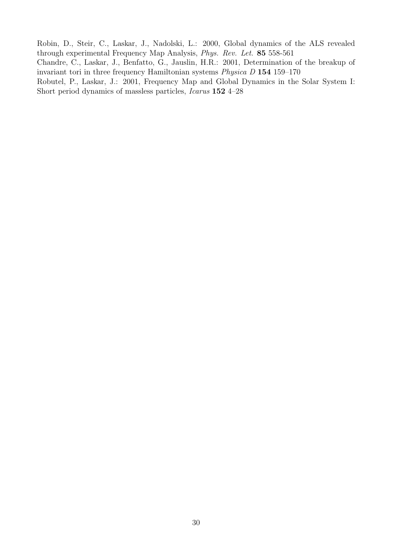Robin, D., Steir, C., Laskar, J., Nadolski, L.: 2000, Global dynamics of the ALS revealed through experimental Frequency Map Analysis, Phys. Rev. Let. 85 558-561

Chandre, C., Laskar, J., Benfatto, G., Jauslin, H.R.: 2001, Determination of the breakup of invariant tori in three frequency Hamiltonian systems Physica D 154 159–170

Robutel, P., Laskar, J.: 2001, Frequency Map and Global Dynamics in the Solar System I: Short period dynamics of massless particles, Icarus 152 4–28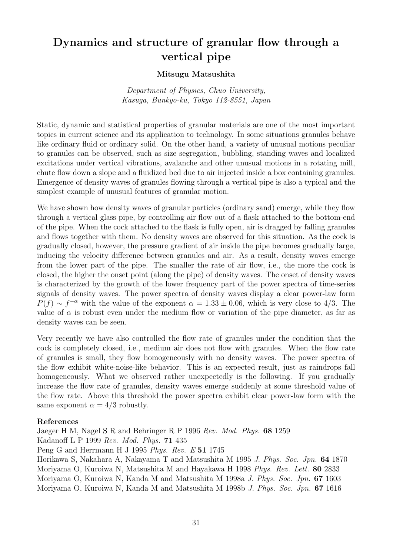# Dynamics and structure of granular flow through a vertical pipe

## Mitsugu Matsushita

Department of Physics, Chuo University, Kasuga, Bunkyo-ku, Tokyo 112-8551, Japan

Static, dynamic and statistical properties of granular materials are one of the most important topics in current science and its application to technology. In some situations granules behave like ordinary fluid or ordinary solid. On the other hand, a variety of unusual motions peculiar to granules can be observed, such as size segregation, bubbling, standing waves and localized excitations under vertical vibrations, avalanche and other unusual motions in a rotating mill, chute flow down a slope and a fluidized bed due to air injected inside a box containing granules. Emergence of density waves of granules flowing through a vertical pipe is also a typical and the simplest example of unusual features of granular motion.

We have shown how density waves of granular particles (ordinary sand) emerge, while they flow through a vertical glass pipe, by controlling air flow out of a flask attached to the bottom-end of the pipe. When the cock attached to the flask is fully open, air is dragged by falling granules and flows together with them. No density waves are observed for this situation. As the cock is gradually closed, however, the pressure gradient of air inside the pipe becomes gradually large, inducing the velocity difference between granules and air. As a result, density waves emerge from the lower part of the pipe. The smaller the rate of air flow, i.e., the more the cock is closed, the higher the onset point (along the pipe) of density waves. The onset of density waves is characterized by the growth of the lower frequency part of the power spectra of time-series signals of density waves. The power spectra of density waves display a clear power-law form  $P(f) \sim f^{-\alpha}$  with the value of the exponent  $\alpha = 1.33 \pm 0.06$ , which is very close to 4/3. The value of  $\alpha$  is robust even under the medium flow or variation of the pipe diameter, as far as density waves can be seen.

Very recently we have also controlled the flow rate of granules under the condition that the cock is completely closed, i.e., medium air does not flow with granules. When the flow rate of granules is small, they flow homogeneously with no density waves. The power spectra of the flow exhibit white-noise-like behavior. This is an expected result, just as raindrops fall homogeneously. What we observed rather unexpectedly is the following. If you gradually increase the flow rate of granules, density waves emerge suddenly at some threshold value of the flow rate. Above this threshold the power spectra exhibit clear power-law form with the same exponent  $\alpha = 4/3$  robustly.

## References

Jaeger H M, Nagel S R and Behringer R P 1996 Rev. Mod. Phys. 68 1259 Kadanoff L P 1999 Rev. Mod. Phys. 71 435 Peng G and Herrmann H J 1995 Phys. Rev. E 51 1745 Horikawa S, Nakahara A, Nakayama T and Matsushita M 1995 J. Phys. Soc. Jpn. 64 1870 Moriyama O, Kuroiwa N, Matsushita M and Hayakawa H 1998 Phys. Rev. Lett. 80 2833 Moriyama O, Kuroiwa N, Kanda M and Matsushita M 1998a J. Phys. Soc. Jpn. 67 1603 Moriyama O, Kuroiwa N, Kanda M and Matsushita M 1998b J. Phys. Soc. Jpn. 67 1616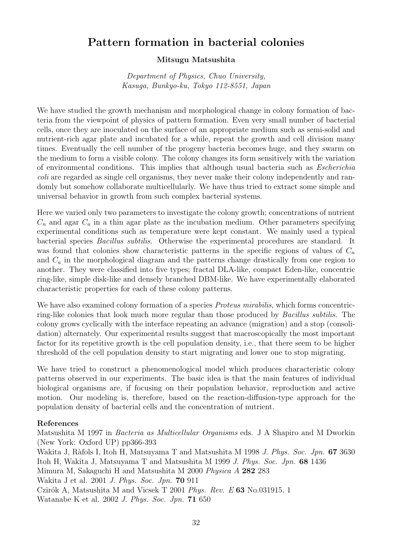# Pattern formation in bacterial colonies

### Mitsugu Matsushita

Department of Physics, Chuo University, Kasuga, Bunkyo-ku, Tokyo 112-8551, Japan

We have studied the growth mechanism and morphological change in colony formation of bacteria from the viewpoint of physics of pattern formation. Even very small number of bacterial cells, once they are inoculated on the surface of an appropriate medium such as semi-solid and nutrient-rich agar plate and incubated for a while, repeat the growth and cell division many times. Eventually the cell number of the progeny bacteria becomes huge, and they swarm on the medium to form a visible colony. The colony changes its form sensitively with the variation of environmental conditions. This implies that although usual bacteria such as Escherichia coli are regarded as single cell organisms, they never make their colony independently and randomly but somehow collaborate multicellularly. We have thus tried to extract some simple and universal behavior in growth from such complex bacterial systems.

Here we varied only two parameters to investigate the colony growth; concentrations of nutrient  $C_n$  and agar  $C_a$  in a thin agar plate as the incubation medium. Other parameters specifying experimental conditions such as temperature were kept constant. We mainly used a typical bacterial species Bacillus subtilis. Otherwise the experimental procedures are standard. It was found that colonies show characteristic patterns in the specific regions of values of  $C_n$ and  $C_a$  in the morphological diagram and the patterns change drastically from one region to another. They were classified into five types; fractal DLA-like, compact Eden-like, concentric ring-like, simple disk-like and densely branched DBM-like. We have experimentally elaborated characteristic properties for each of these colony patterns.

We have also examined colony formation of a species *Proteus mirabilis*, which forms concentricring-like colonies that look much more regular than those produced by Bacillus subtilis. The colony grows cyclically with the interface repeating an advance (migration) and a stop (consolidation) alternately. Our experimental results suggest that macroscopically the most important factor for its repetitive growth is the cell population density, i.e., that there seem to be higher threshold of the cell population density to start migrating and lower one to stop migrating.

We have tried to construct a phenomenological model which produces characteristic colony patterns observed in our experiments. The basic idea is that the main features of individual biological organisms are, if focusing on their population behavior, reproduction and active motion. Our modeling is, therefore, based on the reaction-diffusion-type approach for the population density of bacterial cells and the concentration of nutrient.

#### References

Matsushita M 1997 in Bacteria as Multicellular Organisms eds. J A Shapiro and M Dworkin (New York: Oxford UP) pp366-393 Wakita J, Ràfols I, Itoh H, Matsuyama T and Matsushita M 1998 J. Phys. Soc. Jpn. 67 3630 Itoh H, Wakita J, Matsuyama T and Matsushita M 1999 J. Phys. Soc. Jpn. 68 1436 Mimura M, Sakaguchi H and Matsushita M 2000 Physica A 282 283 Wakita J et al. 2001 J. Phys. Soc. Jpn. 70 911 Czirók A, Matsushita M and Vicsek T 2001 Phys. Rev. E 63 No.031915, 1 Watanabe K et al. 2002 J. Phys. Soc. Jpn. 71 650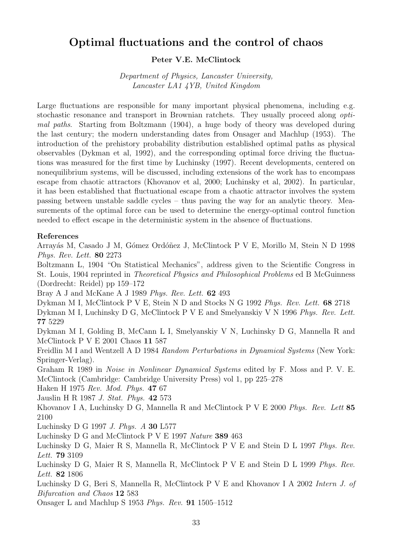# Optimal fluctuations and the control of chaos

#### Peter V.E. McClintock

Department of Physics, Lancaster University, Lancaster LA1 4YB, United Kingdom

Large fluctuations are responsible for many important physical phenomena, including e.g. stochastic resonance and transport in Brownian ratchets. They usually proceed along optimal paths. Starting from Boltzmann (1904), a huge body of theory was developed during the last century; the modern understanding dates from Onsager and Machlup (1953). The introduction of the prehistory probability distribution established optimal paths as physical observables (Dykman et al, 1992), and the corresponding optimal force driving the fluctuations was measured for the first time by Luchinsky (1997). Recent developments, centered on nonequilibrium systems, will be discussed, including extensions of the work has to encompass escape from chaotic attractors (Khovanov et al, 2000; Luchinsky et al, 2002). In particular, it has been established that fluctuational escape from a chaotic attractor involves the system passing between unstable saddle cycles – thus paving the way for an analytic theory. Measurements of the optimal force can be used to determine the energy-optimal control function needed to effect escape in the deterministic system in the absence of fluctuations.

#### References

Arrayás M, Casado J M, Gómez Ordóñez J, McClintock P V E, Morillo M, Stein N D 1998 Phys. Rev. Lett. 80 2273

Boltzmann L, 1904 "On Statistical Mechanics", address given to the Scientific Congress in St. Louis, 1904 reprinted in Theoretical Physics and Philosophical Problems ed B McGuinness (Dordrecht: Reidel) pp 159–172

Bray A J and McKane A J 1989 Phys. Rev. Lett. 62 493

Dykman M I, McClintock P V E, Stein N D and Stocks N G 1992 Phys. Rev. Lett. 68 2718

Dykman M I, Luchinsky D G, McClintock P V E and Smelyanskiy V N 1996 Phys. Rev. Lett. 77 5229

Dykman M I, Golding B, McCann L I, Smelyanskiy V N, Luchinsky D G, Mannella R and McClintock P V E 2001 Chaos 11 587

Freidlin M I and Wentzell A D 1984 Random Perturbations in Dynamical Systems (New York: Springer-Verlag).

Graham R 1989 in Noise in Nonlinear Dynamical Systems edited by F. Moss and P. V. E. McClintock (Cambridge: Cambridge University Press) vol 1, pp 225–278

Haken H 1975 Rev. Mod. Phys. 47 67

Jauslin H R 1987 J. Stat. Phys. 42 573

Khovanov I A, Luchinsky D G, Mannella R and McClintock P V E 2000 Phys. Rev. Lett 85 2100

Luchinsky D G 1997 J. Phys. A 30 L577

Luchinsky D G and McClintock P V E 1997 Nature 389 463

Luchinsky D G, Maier R S, Mannella R, McClintock P V E and Stein D L 1997 Phys. Rev. Lett. 79 3109

Luchinsky D G, Maier R S, Mannella R, McClintock P V E and Stein D L 1999 Phys. Rev. Lett. 82 1806

Luchinsky D G, Beri S, Mannella R, McClintock P V E and Khovanov I A 2002 Intern J. of Bifurcation and Chaos 12 583

Onsager L and Machlup S 1953 Phys. Rev. 91 1505–1512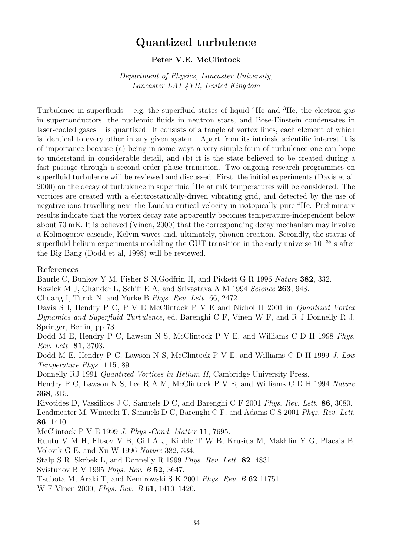# Quantized turbulence

### Peter V.E. McClintock

Department of Physics, Lancaster University, Lancaster LA1 4YB, United Kingdom

Turbulence in superfluids – e.g. the superfluid states of liquid  ${}^{4}$ He and  ${}^{3}$ He, the electron gas in superconductors, the nucleonic fluids in neutron stars, and Bose-Einstein condensates in laser-cooled gases – is quantized. It consists of a tangle of vortex lines, each element of which is identical to every other in any given system. Apart from its intrinsic scientific interest it is of importance because (a) being in some ways a very simple form of turbulence one can hope to understand in considerable detail, and (b) it is the state believed to be created during a fast passage through a second order phase transition. Two ongoing research programmes on superfluid turbulence will be reviewed and discussed. First, the initial experiments (Davis et al, 2000) on the decay of turbulence in superfluid <sup>4</sup>He at mK temperatures will be considered. The vortices are created with a electrostatically-driven vibrating grid, and detected by the use of negative ions travelling near the Landau critical velocity in isotopically pure <sup>4</sup>He. Preliminary results indicate that the vortex decay rate apparently becomes temperature-independent below about 70 mK. It is believed (Vinen, 2000) that the corresponding decay mechanism may involve a Kolmogorov cascade, Kelvin waves and, ultimately, phonon creation. Secondly, the status of superfluid helium experiments modelling the GUT transition in the early universe  $10^{-35}$  s after the Big Bang (Dodd et al, 1998) will be reviewed.

#### References

Baurle C, Bunkov Y M, Fisher S N, Godfrin H, and Pickett G R 1996 Nature 382, 332.

Bowick M J, Chander L, Schiff E A, and Srivastava A M 1994 Science 263, 943.

Chuang I, Turok N, and Yurke B Phys. Rev. Lett. 66, 2472.

Davis S I, Hendry P C, P V E McClintock P V E and Nichol H 2001 in *Quantized Vortex* Dynamics and Superfluid Turbulence, ed. Barenghi C F, Vinen W F, and R J Donnelly R J, Springer, Berlin, pp 73.

Dodd M E, Hendry P C, Lawson N S, McClintock P V E, and Williams C D H 1998 Phys. Rev. Lett. 81, 3703.

Dodd M E, Hendry P C, Lawson N S, McClintock P V E, and Williams C D H 1999 J. Low Temperature Phys. 115, 89.

Donnelly RJ 1991 Quantized Vortices in Helium II, Cambridge University Press.

Hendry P C, Lawson N S, Lee R A M, McClintock P V E, and Williams C D H 1994 Nature 368, 315.

Kivotides D, Vassilicos J C, Samuels D C, and Barenghi C F 2001 Phys. Rev. Lett. 86, 3080. Leadmeater M, Winiecki T, Samuels D C, Barenghi C F, and Adams C S 2001 Phys. Rev. Lett. 86, 1410.

McClintock P V E 1999 J. Phys.-Cond. Matter 11, 7695.

Ruutu V M H, Eltsov V B, Gill A J, Kibble T W B, Krusius M, Makhlin Y G, Placais B, Volovik G E, and Xu W 1996 Nature 382, 334.

Stalp S R, Skrbek L, and Donnelly R 1999 Phys. Rev. Lett. 82, 4831.

Svistunov B V 1995 Phys. Rev. B 52, 3647.

Tsubota M, Araki T, and Nemirowski S K 2001 Phys. Rev. B 62 11751.

W F Vinen 2000, Phys. Rev. B 61, 1410–1420.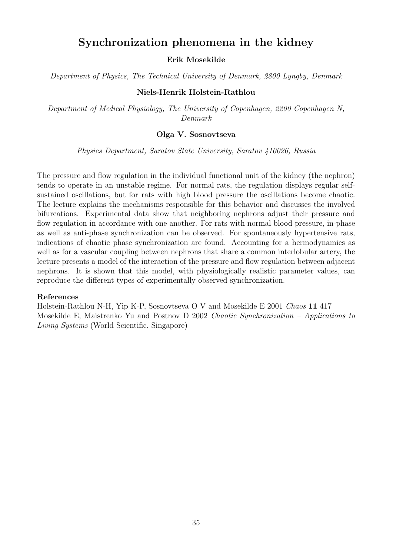# Synchronization phenomena in the kidney

Erik Mosekilde

Department of Physics, The Technical University of Denmark, 2800 Lyngby, Denmark

#### Niels-Henrik Holstein-Rathlou

Department of Medical Physiology, The University of Copenhagen, 2200 Copenhagen N, Denmark

#### Olga V. Sosnovtseva

Physics Department, Saratov State University, Saratov 410026, Russia

The pressure and flow regulation in the individual functional unit of the kidney (the nephron) tends to operate in an unstable regime. For normal rats, the regulation displays regular selfsustained oscillations, but for rats with high blood pressure the oscillations become chaotic. The lecture explains the mechanisms responsible for this behavior and discusses the involved bifurcations. Experimental data show that neighboring nephrons adjust their pressure and flow regulation in accordance with one another. For rats with normal blood pressure, in-phase as well as anti-phase synchronization can be observed. For spontaneously hypertensive rats, indications of chaotic phase synchronization are found. Accounting for a hermodynamics as well as for a vascular coupling between nephrons that share a common interlobular artery, the lecture presents a model of the interaction of the pressure and flow regulation between adjacent nephrons. It is shown that this model, with physiologically realistic parameter values, can reproduce the different types of experimentally observed synchronization.

#### References

Holstein-Rathlou N-H, Yip K-P, Sosnovtseva O V and Mosekilde E 2001 Chaos 11 417 Mosekilde E, Maistrenko Yu and Postnov D 2002 Chaotic Synchronization – Applications to Living Systems (World Scientific, Singapore)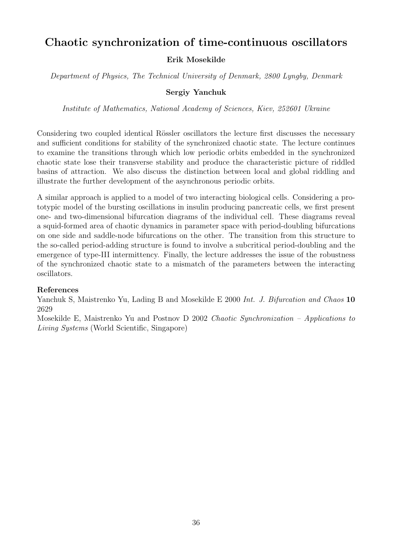# Chaotic synchronization of time-continuous oscillators

## Erik Mosekilde

Department of Physics, The Technical University of Denmark, 2800 Lyngby, Denmark

## Sergiy Yanchuk

Institute of Mathematics, National Academy of Sciences, Kiev, 252601 Ukraine

Considering two coupled identical Rössler oscillators the lecture first discusses the necessary and sufficient conditions for stability of the synchronized chaotic state. The lecture continues to examine the transitions through which low periodic orbits embedded in the synchronized chaotic state lose their transverse stability and produce the characteristic picture of riddled basins of attraction. We also discuss the distinction between local and global riddling and illustrate the further development of the asynchronous periodic orbits.

A similar approach is applied to a model of two interacting biological cells. Considering a prototypic model of the bursting oscillations in insulin producing pancreatic cells, we first present one- and two-dimensional bifurcation diagrams of the individual cell. These diagrams reveal a squid-formed area of chaotic dynamics in parameter space with period-doubling bifurcations on one side and saddle-node bifurcations on the other. The transition from this structure to the so-called period-adding structure is found to involve a subcritical period-doubling and the emergence of type-III intermittency. Finally, the lecture addresses the issue of the robustness of the synchronized chaotic state to a mismatch of the parameters between the interacting oscillators.

## References

Yanchuk S, Maistrenko Yu, Lading B and Mosekilde E 2000 Int. J. Bifurcation and Chaos 10 2629

Mosekilde E, Maistrenko Yu and Postnov D 2002 Chaotic Synchronization – Applications to Living Systems (World Scientific, Singapore)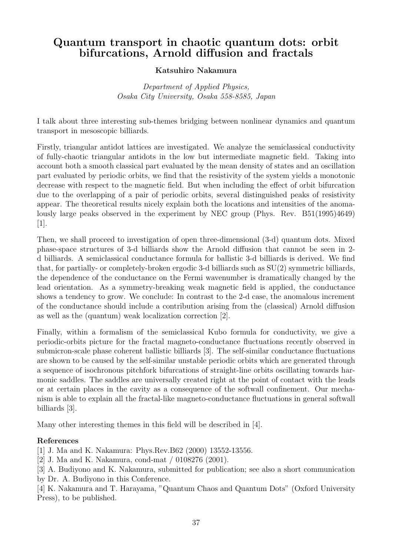# Quantum transport in chaotic quantum dots: orbit bifurcations, Arnold diffusion and fractals

## Katsuhiro Nakamura

Department of Applied Physics, Osaka City University, Osaka 558-8585, Japan

I talk about three interesting sub-themes bridging between nonlinear dynamics and quantum transport in mesoscopic billiards.

Firstly, triangular antidot lattices are investigated. We analyze the semiclassical conductivity of fully-chaotic triangular antidots in the low but intermediate magnetic field. Taking into account both a smooth classical part evaluated by the mean density of states and an oscillation part evaluated by periodic orbits, we find that the resistivity of the system yields a monotonic decrease with respect to the magnetic field. But when including the effect of orbit bifurcation due to the overlapping of a pair of periodic orbits, several distinguished peaks of resistivity appear. The theoretical results nicely explain both the locations and intensities of the anomalously large peaks observed in the experiment by NEC group (Phys. Rev. B51(1995)4649) [1].

Then, we shall proceed to investigation of open three-dimensional (3-d) quantum dots. Mixed phase-space structures of 3-d billiards show the Arnold diffusion that cannot be seen in 2 d billiards. A semiclassical conductance formula for ballistic 3-d billiards is derived. We find that, for partially- or completely-broken ergodic 3-d billiards such as SU(2) symmetric billiards, the dependence of the conductance on the Fermi wavenumber is dramatically changed by the lead orientation. As a symmetry-breaking weak magnetic field is applied, the conductance shows a tendency to grow. We conclude: In contrast to the 2-d case, the anomalous increment of the conductance should include a contribution arising from the (classical) Arnold diffusion as well as the (quantum) weak localization correction [2].

Finally, within a formalism of the semiclassical Kubo formula for conductivity, we give a periodic-orbits picture for the fractal magneto-conductance fluctuations recently observed in submicron-scale phase coherent ballistic billiards [3]. The self-similar conductance fluctuations are shown to be caused by the self-similar unstable periodic orbits which are generated through a sequence of isochronous pitchfork bifurcations of straight-line orbits oscillating towards harmonic saddles. The saddles are universally created right at the point of contact with the leads or at certain places in the cavity as a consequence of the softwall confinement. Our mechanism is able to explain all the fractal-like magneto-conductance fluctuations in general softwall billiards [3].

Many other interesting themes in this field will be described in [4].

## References

[1] J. Ma and K. Nakamura: Phys.Rev.B62 (2000) 13552-13556.

- [2] J. Ma and K. Nakamura, cond-mat / 0108276 (2001).
- [3] A. Budiyono and K. Nakamura, submitted for publication; see also a short communication by Dr. A. Budiyono in this Conference.

[4] K. Nakamura and T. Harayama, "Quantum Chaos and Quantum Dots" (Oxford University Press), to be published.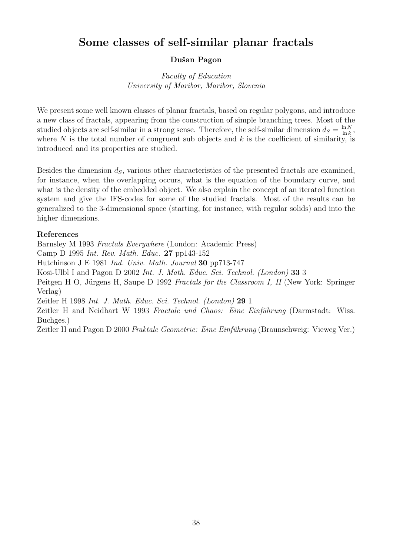# Some classes of self-similar planar fractals

## Dušan Pagon

Faculty of Education University of Maribor, Maribor, Slovenia

We present some well known classes of planar fractals, based on regular polygons, and introduce a new class of fractals, appearing from the construction of simple branching trees. Most of the studied objects are self-similar in a strong sense. Therefore, the self-similar dimension  $d_S = \frac{\ln N}{\ln k}$  $\frac{\ln N}{\ln k}$ , where  $N$  is the total number of congruent sub objects and  $k$  is the coefficient of similarity, is introduced and its properties are studied.

Besides the dimension  $d<sub>S</sub>$ , various other characteristics of the presented fractals are examined, for instance, when the overlapping occurs, what is the equation of the boundary curve, and what is the density of the embedded object. We also explain the concept of an iterated function system and give the IFS-codes for some of the studied fractals. Most of the results can be generalized to the 3-dimensional space (starting, for instance, with regular solids) and into the higher dimensions.

## References

Barnsley M 1993 Fractals Everywhere (London: Academic Press) Camp D 1995 Int. Rev. Math. Educ. 27 pp143-152 Hutchinson J E 1981 Ind. Univ. Math. Journal 30 pp713-747 Kosi-Ulbl I and Pagon D 2002 Int. J. Math. Educ. Sci. Technol. (London) 33 3 Peitgen H O, Jürgens H, Saupe D 1992 Fractals for the Classroom I, II (New York: Springer Verlag) Zeitler H 1998 Int. J. Math. Educ. Sci. Technol. (London) 29 1 Zeitler H and Neidhart W 1993 Fractale und Chaos: Eine Einführung (Darmstadt: Wiss.

Buchges.)

Zeitler H and Pagon D 2000 Fraktale Geometrie: Eine Einführung (Braunschweig: Vieweg Ver.)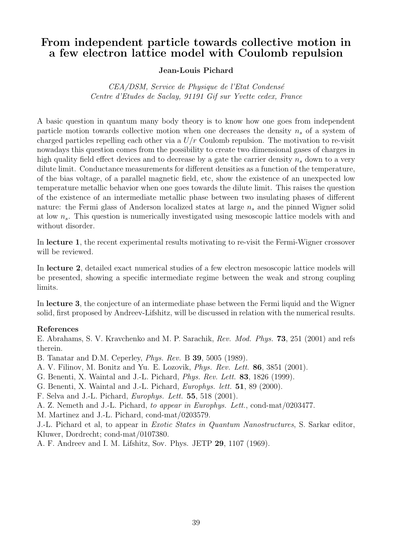# From independent particle towards collective motion in a few electron lattice model with Coulomb repulsion

## Jean-Louis Pichard

CEA/DSM, Service de Physique de l'Etat Condensé Centre d'Etudes de Saclay, 91191 Gif sur Yvette cedex, France

A basic question in quantum many body theory is to know how one goes from independent particle motion towards collective motion when one decreases the density  $n_s$  of a system of charged particles repelling each other via a  $U/r$  Coulomb repulsion. The motivation to re-visit nowadays this question comes from the possibility to create two dimensional gases of charges in high quality field effect devices and to decrease by a gate the carrier density  $n_s$  down to a very dilute limit. Conductance measurements for different densities as a function of the temperature, of the bias voltage, of a parallel magnetic field, etc, show the existence of an unexpected low temperature metallic behavior when one goes towards the dilute limit. This raises the question of the existence of an intermediate metallic phase between two insulating phases of different nature: the Fermi glass of Anderson localized states at large  $n_s$  and the pinned Wigner solid at low  $n_s$ . This question is numerically investigated using mesoscopic lattice models with and without disorder.

In lecture 1, the recent experimental results motivating to re-visit the Fermi-Wigner crossover will be reviewed.

In lecture 2, detailed exact numerical studies of a few electron mesoscopic lattice models will be presented, showing a specific intermediate regime between the weak and strong coupling limits.

In lecture 3, the conjecture of an intermediate phase between the Fermi liquid and the Wigner solid, first proposed by Andreev-Lifshitz, will be discussed in relation with the numerical results.

## References

E. Abrahams, S. V. Kravchenko and M. P. Sarachik, Rev. Mod. Phys. 73, 251 (2001) and refs therein.

B. Tanatar and D.M. Ceperley, Phys. Rev. B 39, 5005 (1989).

- A. V. Filinov, M. Bonitz and Yu. E. Lozovik, Phys. Rev. Lett. 86, 3851 (2001).
- G. Benenti, X. Waintal and J.-L. Pichard, Phys. Rev. Lett. 83, 1826 (1999).
- G. Benenti, X. Waintal and J.-L. Pichard, Europhys. lett. 51, 89 (2000).

F. Selva and J.-L. Pichard, Europhys. Lett. 55, 518 (2001).

A. Z. Nemeth and J.-L. Pichard, to appear in Europhys. Lett., cond-mat/0203477.

M. Martinez and J.-L. Pichard, cond-mat/0203579.

J.-L. Pichard et al, to appear in Exotic States in Quantum Nanostructures, S. Sarkar editor, Kluwer, Dordrecht; cond-mat/0107380.

A. F. Andreev and I. M. Lifshitz, Sov. Phys. JETP 29, 1107 (1969).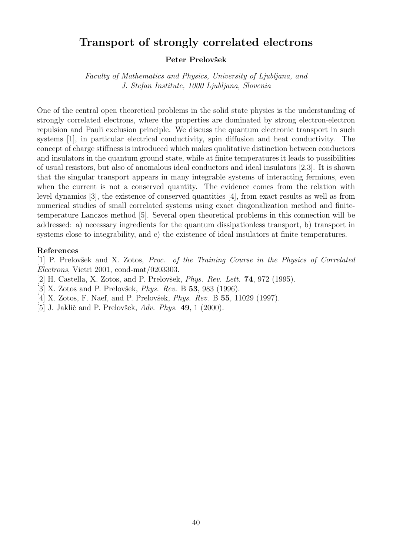# Transport of strongly correlated electrons

#### Peter Prelovšek

Faculty of Mathematics and Physics, University of Ljubljana, and J. Stefan Institute, 1000 Ljubljana, Slovenia

One of the central open theoretical problems in the solid state physics is the understanding of strongly correlated electrons, where the properties are dominated by strong electron-electron repulsion and Pauli exclusion principle. We discuss the quantum electronic transport in such systems [1], in particular electrical conductivity, spin diffusion and heat conductivity. The concept of charge stiffness is introduced which makes qualitative distinction between conductors and insulators in the quantum ground state, while at finite temperatures it leads to possibilities of usual resistors, but also of anomalous ideal conductors and ideal insulators [2,3]. It is shown that the singular transport appears in many integrable systems of interacting fermions, even when the current is not a conserved quantity. The evidence comes from the relation with level dynamics [3], the existence of conserved quantities [4], from exact results as well as from numerical studies of small correlated systems using exact diagonalization method and finitetemperature Lanczos method [5]. Several open theoretical problems in this connection will be addressed: a) necessary ingredients for the quantum dissipationless transport, b) transport in systems close to integrability, and c) the existence of ideal insulators at finite temperatures.

#### References

[1] P. Prelovsek and X. Zotos, *Proc. of the Training Course in the Physics of Correlated* Electrons, Vietri 2001, cond-mat/0203303.

- [2] H. Castella, X. Zotos, and P. Prelovšek, *Phys. Rev. Lett.* **74**, 972 (1995).
- [3] X. Zotos and P. Prelovšek, *Phys. Rev.* B **53**, 983 (1996).
- [4] X. Zotos, F. Naef, and P. Prelovšek, *Phys. Rev.* B **55**, 11029 (1997).
- [5] J. Jaklič and P. Prelovšek, Adv. Phys. 49, 1 (2000).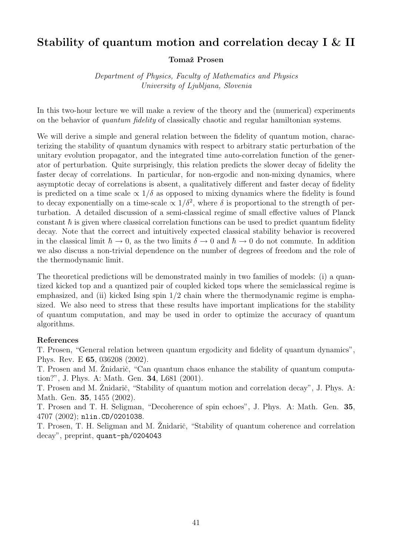# Stability of quantum motion and correlation decay I & II

#### Tomaž Prosen

Department of Physics, Faculty of Mathematics and Physics University of Ljubljana, Slovenia

In this two-hour lecture we will make a review of the theory and the (numerical) experiments on the behavior of quantum fidelity of classically chaotic and regular hamiltonian systems.

We will derive a simple and general relation between the fidelity of quantum motion, characterizing the stability of quantum dynamics with respect to arbitrary static perturbation of the unitary evolution propagator, and the integrated time auto-correlation function of the generator of perturbation. Quite surprisingly, this relation predicts the slower decay of fidelity the faster decay of correlations. In particular, for non-ergodic and non-mixing dynamics, where asymptotic decay of correlations is absent, a qualitatively different and faster decay of fidelity is predicted on a time scale  $\propto 1/\delta$  as opposed to mixing dynamics where the fidelity is found to decay exponentially on a time-scale  $\propto 1/\delta^2$ , where  $\delta$  is proportional to the strength of perturbation. A detailed discussion of a semi-classical regime of small effective values of Planck constant  $\hbar$  is given where classical correlation functions can be used to predict quantum fidelity decay. Note that the correct and intuitively expected classical stability behavior is recovered in the classical limit  $\hbar \to 0$ , as the two limits  $\delta \to 0$  and  $\hbar \to 0$  do not commute. In addition we also discuss a non-trivial dependence on the number of degrees of freedom and the role of the thermodynamic limit.

The theoretical predictions will be demonstrated mainly in two families of models: (i) a quantized kicked top and a quantized pair of coupled kicked tops where the semiclassical regime is emphasized, and (ii) kicked Ising spin  $1/2$  chain where the thermodynamic regime is emphasized. We also need to stress that these results have important implications for the stability of quantum computation, and may be used in order to optimize the accuracy of quantum algorithms.

#### References

T. Prosen, "General relation between quantum ergodicity and fidelity of quantum dynamics", Phys. Rev. E 65, 036208 (2002).

T. Prosen and M. Znidarič, "Can quantum chaos enhance the stability of quantum computation?", J. Phys. A: Math. Gen. 34, L681 (2001).

T. Prosen and M. Žnidarič, "Stability of quantum motion and correlation decay", J. Phys. A: Math. Gen. 35, 1455 (2002).

T. Prosen and T. H. Seligman, "Decoherence of spin echoes", J. Phys. A: Math. Gen. 35, 4707 (2002); nlin.CD/0201038.

T. Prosen, T. H. Seligman and M. Žnidarič, "Stability of quantum coherence and correlation decay", preprint, quant-ph/0204043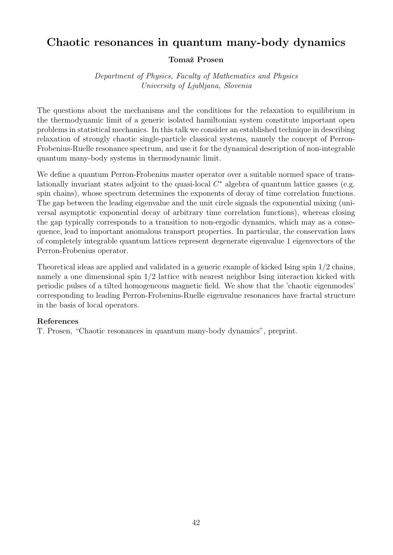# Chaotic resonances in quantum many-body dynamics

## Tomaž Prosen

Department of Physics, Faculty of Mathematics and Physics University of Ljubljana, Slovenia

The questions about the mechanisms and the conditions for the relaxation to equilibrium in the thermodynamic limit of a generic isolated hamiltonian system constitute important open problems in statistical mechanics. In this talk we consider an established technique in describing relaxation of strongly chaotic single-particle classical systems, namely the concept of Perron-Frobenius-Ruelle resonance spectrum, and use it for the dynamical description of non-integrable quantum many-body systems in thermodynamic limit.

We define a quantum Perron-Frobenius master operator over a suitable normed space of translationally invariant states adjoint to the quasi-local  $C^*$  algebra of quantum lattice gasses (e.g. spin chains), whose spectrum determines the exponents of decay of time correlation functions. The gap between the leading eigenvalue and the unit circle signals the exponential mixing (universal asymptotic exponential decay of arbitrary time correlation functions), whereas closing the gap typically corresponds to a transition to non-ergodic dynamics, which may as a consequence, lead to important anomalous transport properties. In particular, the conservation laws of completely integrable quantum lattices represent degenerate eigenvalue 1 eigenvectors of the Perron-Frobenius operator.

Theoretical ideas are applied and validated in a generic example of kicked Ising spin 1/2 chains, namely a one dimensional spin 1/2 lattice with nearest neighbor Ising interaction kicked with periodic pulses of a tilted homogeneous magnetic field. We show that the 'chaotic eigenmodes' corresponding to leading Perron-Frobenius-Ruelle eigenvalue resonances have fractal structure in the basis of local operators.

## References

T. Prosen, "Chaotic resonances in quantum many-body dynamics", preprint.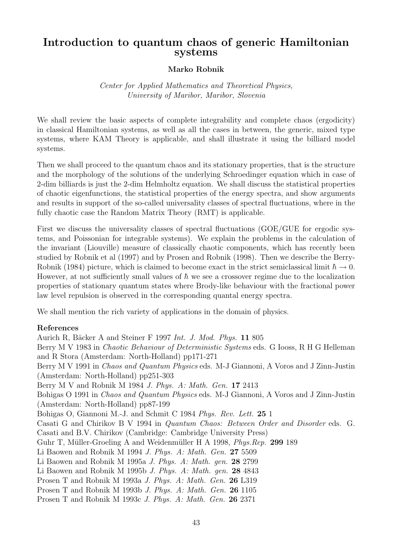## Introduction to quantum chaos of generic Hamiltonian systems

#### Marko Robnik

## Center for Applied Mathematics and Theoretical Physics, University of Maribor, Maribor, Slovenia

We shall review the basic aspects of complete integrability and complete chaos (ergodicity) in classical Hamiltonian systems, as well as all the cases in between, the generic, mixed type systems, where KAM Theory is applicable, and shall illustrate it using the billiard model systems.

Then we shall proceed to the quantum chaos and its stationary properties, that is the structure and the morphology of the solutions of the underlying Schroedinger equation which in case of 2-dim billiards is just the 2-dim Helmholtz equation. We shall discuss the statistical properties of chaotic eigenfunctions, the statistical properties of the energy spectra, and show arguments and results in support of the so-called universality classes of spectral fluctuations, where in the fully chaotic case the Random Matrix Theory (RMT) is applicable.

First we discuss the universality classes of spectral fluctuations (GOE/GUE for ergodic systems, and Poissonian for integrable systems). We explain the problems in the calculation of the invariant (Liouville) measure of classically chaotic components, which has recently been studied by Robnik et al (1997) and by Prosen and Robnik (1998). Then we describe the Berry-Robnik (1984) picture, which is claimed to become exact in the strict semiclassical limit  $\hbar \to 0$ . However, at not sufficiently small values of  $\hbar$  we see a crossover regime due to the localization properties of stationary quantum states where Brody-like behaviour with the fractional power law level repulsion is observed in the corresponding quantal energy spectra.

We shall mention the rich variety of applications in the domain of physics.

#### References

Aurich R, Bäcker A and Steiner F 1997 Int. J. Mod. Phys. 11 805 Berry M V 1983 in Chaotic Behaviour of Deterministic Systems eds. G Iooss, R H G Helleman and R Stora (Amsterdam: North-Holland) pp171-271 Berry M V 1991 in *Chaos and Quantum Physics* eds. M-J Giannoni, A Voros and J Zinn-Justin (Amsterdam: North-Holland) pp251-303 Berry M V and Robnik M 1984 J. Phys. A: Math. Gen. 17 2413 Bohigas O 1991 in Chaos and Quantum Physics eds. M-J Giannoni, A Voros and J Zinn-Justin (Amsterdam: North-Holland) pp87-199 Bohigas O, Giannoni M.-J. and Schmit C 1984 Phys. Rev. Lett. 25 1 Casati G and Chirikov B V 1994 in Quantum Chaos: Between Order and Disorder eds. G. Casati and B.V. Chirikov (Cambridge: Cambridge University Press) Guhr T, Müller-Groeling A and Weidenmüller H A 1998, Phys. Rep. 299 189 Li Baowen and Robnik M 1994 J. Phys. A: Math. Gen. 27 5509 Li Baowen and Robnik M 1995a J. Phys. A: Math. gen. 28 2799 Li Baowen and Robnik M 1995b J. Phys. A: Math. gen. 28 4843 Prosen T and Robnik M 1993a J. Phys. A: Math. Gen. 26 L319 Prosen T and Robnik M 1993b J. Phys. A: Math. Gen. 26 1105 Prosen T and Robnik M 1993c J. Phys. A: Math. Gen. 26 2371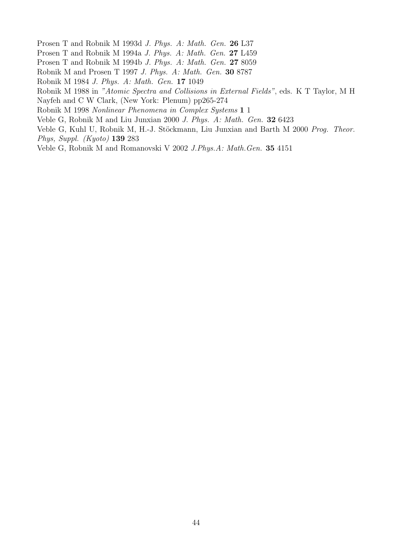- Prosen T and Robnik M 1993d J. Phys. A: Math. Gen. 26 L37
- Prosen T and Robnik M 1994a J. Phys. A: Math. Gen. 27 L459
- Prosen T and Robnik M 1994b J. Phys. A: Math. Gen. 27 8059
- Robnik M and Prosen T 1997 J. Phys. A: Math. Gen. 30 8787
- Robnik M 1984 J. Phys. A: Math. Gen. 17 1049
- Robnik M 1988 in "Atomic Spectra and Collisions in External Fields", eds. K T Taylor, M H
- Nayfeh and C W Clark, (New York: Plenum) pp265-274
- Robnik M 1998 Nonlinear Phenomena in Complex Systems 1 1
- Veble G, Robnik M and Liu Junxian 2000 J. Phys. A: Math. Gen. 32 6423
- Veble G, Kuhl U, Robnik M, H.-J. Stöckmann, Liu Junxian and Barth M 2000 Prog. Theor. Phys, Suppl. (Kyoto) 139 283
- Veble G, Robnik M and Romanovski V 2002 J.Phys.A: Math.Gen. 35 4151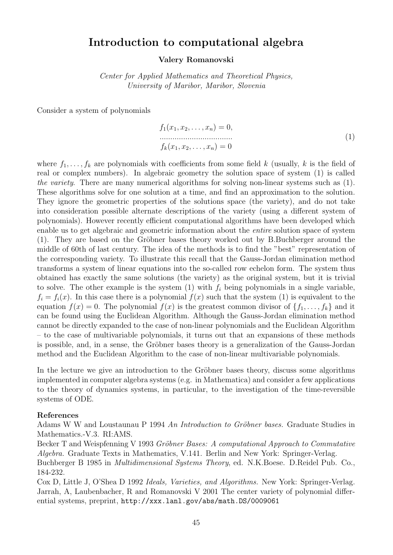## Introduction to computational algebra

#### Valery Romanovski

Center for Applied Mathematics and Theoretical Physics, University of Maribor, Maribor, Slovenia

Consider a system of polynomials

$$
f_1(x_1, x_2, \dots, x_n) = 0,
$$
  
\n
$$
\dots
$$
  
\n
$$
f_k(x_1, x_2, \dots, x_n) = 0
$$
  
\n(1)

where  $f_1, \ldots, f_k$  are polynomials with coefficients from some field k (usually, k is the field of real or complex numbers). In algebraic geometry the solution space of system (1) is called the variety. There are many numerical algorithms for solving non-linear systems such as (1). These algorithms solve for one solution at a time, and find an approximation to the solution. They ignore the geometric properties of the solutions space (the variety), and do not take into consideration possible alternate descriptions of the variety (using a different system of polynomials). However recently efficient computational algorithms have been developed which enable us to get algebraic and geometric information about the entire solution space of system  $(1)$ . They are based on the Gröbner bases theory worked out by B.Buchberger around the middle of 60th of last century. The idea of the methods is to find the "best" representation of the corresponding variety. To illustrate this recall that the Gauss-Jordan elimination method transforms a system of linear equations into the so-called row echelon form. The system thus obtained has exactly the same solutions (the variety) as the original system, but it is trivial to solve. The other example is the system  $(1)$  with  $f_i$  being polynomials in a single variable,  $f_i = f_i(x)$ . In this case there is a polynomial  $f(x)$  such that the system (1) is equivalent to the equation  $f(x) = 0$ . The polynomial  $f(x)$  is the greatest common divisor of  $\{f_1, \ldots, f_k\}$  and it can be found using the Euclidean Algorithm. Although the Gauss-Jordan elimination method cannot be directly expanded to the case of non-linear polynomials and the Euclidean Algorithm – to the case of multivariable polynomials, it turns out that an expansions of these methods is possible, and, in a sense, the Gröbner bases theory is a generalization of the Gauss-Jordan method and the Euclidean Algorithm to the case of non-linear multivariable polynomials.

In the lecture we give an introduction to the Gröbner bases theory, discuss some algorithms implemented in computer algebra systems (e.g. in Mathematica) and consider a few applications to the theory of dynamics systems, in particular, to the investigation of the time-reversible systems of ODE.

#### References

Adams W W and Loustaunau P 1994 An Introduction to Gröbner bases. Graduate Studies in Mathematics.-V.3. RI:AMS.

Becker T and Weispfenning V 1993 Gröbner Bases: A computational Approach to Commutative Algebra. Graduate Texts in Mathematics, V.141. Berlin and New York: Springer-Verlag.

Buchberger B 1985 in Multidimensional Systems Theory, ed. N.K.Boese. D.Reidel Pub. Co., 184-232.

Cox D, Little J, O'Shea D 1992 Ideals, Varieties, and Algorithms. New York: Springer-Verlag. Jarrah, A, Laubenbacher, R and Romanovski V 2001 The center variety of polynomial differential systems, preprint, http://xxx.lanl.gov/abs/math.DS/0009061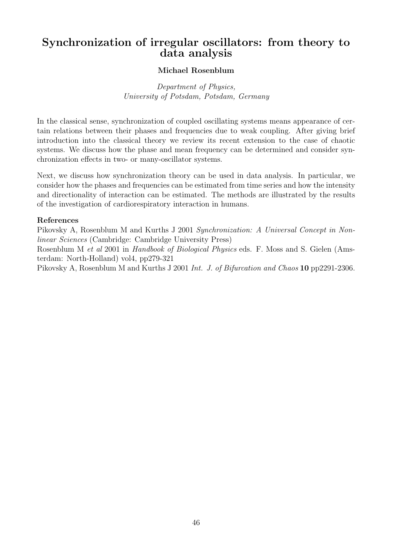# Synchronization of irregular oscillators: from theory to data analysis

## Michael Rosenblum

Department of Physics, University of Potsdam, Potsdam, Germany

In the classical sense, synchronization of coupled oscillating systems means appearance of certain relations between their phases and frequencies due to weak coupling. After giving brief introduction into the classical theory we review its recent extension to the case of chaotic systems. We discuss how the phase and mean frequency can be determined and consider synchronization effects in two- or many-oscillator systems.

Next, we discuss how synchronization theory can be used in data analysis. In particular, we consider how the phases and frequencies can be estimated from time series and how the intensity and directionality of interaction can be estimated. The methods are illustrated by the results of the investigation of cardiorespiratory interaction in humans.

#### References

Pikovsky A, Rosenblum M and Kurths J 2001 Synchronization: A Universal Concept in Nonlinear Sciences (Cambridge: Cambridge University Press)

Rosenblum M et al 2001 in Handbook of Biological Physics eds. F. Moss and S. Gielen (Amsterdam: North-Holland) vol4, pp279-321

Pikovsky A, Rosenblum M and Kurths J 2001 Int. J. of Bifurcation and Chaos 10 pp2291-2306.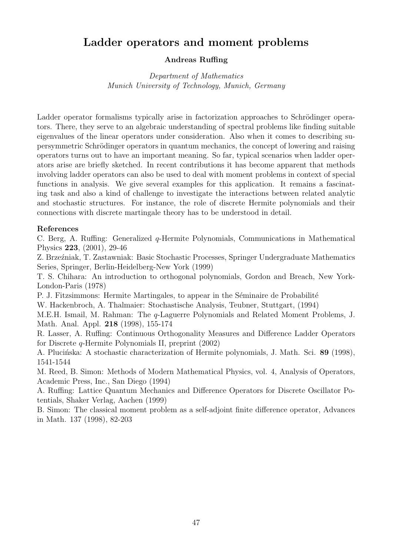# Ladder operators and moment problems

## Andreas Ruffing

Department of Mathematics Munich University of Technology, Munich, Germany

Ladder operator formalisms typically arise in factorization approaches to Schrödinger operators. There, they serve to an algebraic understanding of spectral problems like finding suitable eigenvalues of the linear operators under consideration. Also when it comes to describing supersymmetric Schrödinger operators in quantum mechanics, the concept of lowering and raising operators turns out to have an important meaning. So far, typical scenarios when ladder operators arise are briefly sketched. In recent contributions it has become apparent that methods involving ladder operators can also be used to deal with moment problems in context of special functions in analysis. We give several examples for this application. It remains a fascinating task and also a kind of challenge to investigate the interactions between related analytic and stochastic structures. For instance, the role of discrete Hermite polynomials and their connections with discrete martingale theory has to be understood in detail.

#### References

C. Berg, A. Ruffing: Generalized q-Hermite Polynomials, Communications in Mathematical Physics 223, (2001), 29-46

Z. Brzeźniak, T. Zastawniak: Basic Stochastic Processes, Springer Undergraduate Mathematics Series, Springer, Berlin-Heidelberg-New York (1999)

T. S. Chihara: An introduction to orthogonal polynomials, Gordon and Breach, New York-London-Paris (1978)

P. J. Fitzsimmons: Hermite Martingales, to appear in the Séminaire de Probabilité

W. Hackenbroch, A. Thalmaier: Stochastische Analysis, Teubner, Stuttgart, (1994)

M.E.H. Ismail, M. Rahman: The q-Laguerre Polynomials and Related Moment Problems, J. Math. Anal. Appl. 218 (1998), 155-174

R. Lasser, A. Ruffing: Continuous Orthogonality Measures and Difference Ladder Operators for Discrete q-Hermite Polynomials II, preprint (2002)

A. Pluciónska: A stochastic characterization of Hermite polynomials, J. Math. Sci. 89 (1998), 1541-1544

M. Reed, B. Simon: Methods of Modern Mathematical Physics, vol. 4, Analysis of Operators, Academic Press, Inc., San Diego (1994)

A. Ruffing: Lattice Quantum Mechanics and Difference Operators for Discrete Oscillator Potentials, Shaker Verlag, Aachen (1999)

B. Simon: The classical moment problem as a self-adjoint finite difference operator, Advances in Math. 137 (1998), 82-203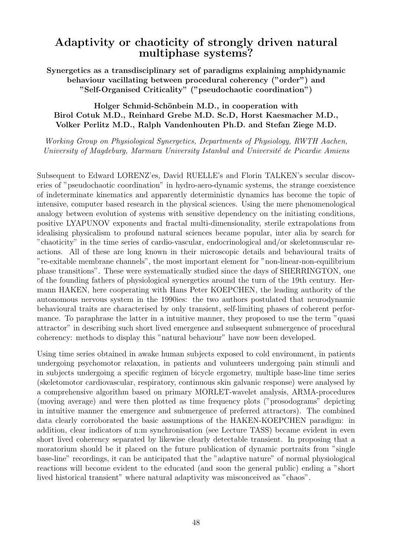# Adaptivity or chaoticity of strongly driven natural multiphase systems?

Synergetics as a transdisciplinary set of paradigms explaining amphidynamic behaviour vacillating between procedural coherency ("order") and "Self-Organised Criticality" ("pseudochaotic coordination")

## Holger Schmid-Schönbein M.D., in cooperation with Birol Cotuk M.D., Reinhard Grebe M.D. Sc.D, Horst Kaesmacher M.D., Volker Perlitz M.D., Ralph Vandenhouten Ph.D. and Stefan Ziege M.D.

Working Group on Physiological Synergetics, Departments of Physiology, RWTH Aachen, University of Magdeburg, Marmara University Istanbul and Université de Picardie Amiens

Subsequent to Edward LORENZ'es, David RUELLE's and Florin TALKEN's secular discoveries of "pseudochaotic coordination" in hydro-aero-dynamic systems, the strange coexistence of indeterminate kinematics and apparently deterministic dynamics has become the topic of intensive, computer based research in the physical sciences. Using the mere phenomenological analogy between evolution of systems with sensitive dependency on the initiating conditions, positive LYAPUNOV exponents and fractal multi-dimensionality, sterile extrapolations from idealising physicalism to profound natural sciences became popular, inter alia by search for "chaoticity" in the time series of cardio-vascular, endocrinological and/or skeletomuscular reactions. All of these are long known in their microscopic details and behavioural traits of "re-exitable membrane channels", the most important element for "non-linear-non-equilibrium phase transitions". These were systematically studied since the days of SHERRINGTON, one of the founding fathers of physiological synergetics around the turn of the 19th century. Hermann HAKEN, here cooperating with Hans Peter KOEPCHEN, the leading authority of the autonomous nervous system in the 1990ies: the two authors postulated that neurodynamic behavioural traits are characterised by only transient, self-limiting phases of coherent performance. To paraphrase the latter in a intuitive manner, they proposed to use the term "quasi attractor" in describing such short lived emergence and subsequent submergence of procedural coherency: methods to display this "natural behaviour" have now been developed.

Using time series obtained in awake human subjects exposed to cold environment, in patients undergoing psychomotor relaxation, in patients and volunteers undergoing pain stimuli and in subjects undergoing a specific regimen of bicycle ergometry, multiple base-line time series (skeletomotor cardiovascular, respiratory, continuous skin galvanic response) were analysed by a comprehensive algorithm based on primary MORLET-wavelet analysis, ARMA-procedures (moving average) and were then plotted as time frequency plots ("prosodograms" depicting in intuitive manner the emergence and submergence of preferred attractors). The combined data clearly corroborated the basic assumptions of the HAKEN-KOEPCHEN paradigm: in addition, clear indicators of n:m synchronisation (see Lecture TASS) became evident in even short lived coherency separated by likewise clearly detectable transient. In proposing that a moratorium should be it placed on the future publication of dynamic portraits from "single base-line" recordings, it can be anticipated that the "adaptive nature" of normal physiological reactions will become evident to the educated (and soon the general public) ending a "short lived historical transient" where natural adaptivity was misconceived as "chaos".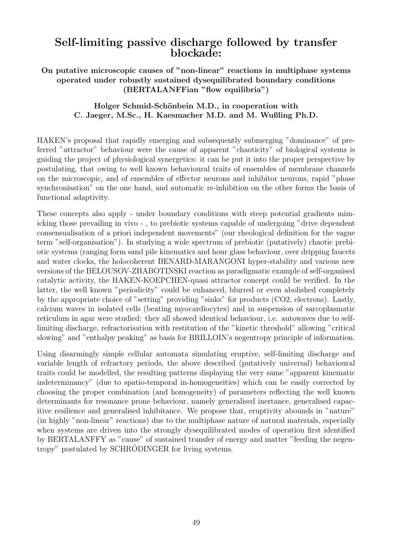# Self-limiting passive discharge followed by transfer blockade:

On putative microscopic causes of "non-linear" reactions in multiphase systems operated under robustly sustained dysequilibrated boundary conditions (BERTALANFFian "flow equilibria")

## Holger Schmid-Schönbein M.D., in cooperation with C. Jaeger, M.Sc., H. Kaesmacher M.D. and M. Wußling Ph.D.

HAKEN's proposal that rapidly emerging and subsequently submerging "dominance" of preferred "attractor" behaviour were the cause of apparent "chaoticity" of biological systems is guiding the project of physiological synergetics: it can be put it into the proper perspective by postulating, that owing to well known behavioural traits of ensembles of membrane channels on the microscopic, and of ensembles of effector neurons and inhibitor neurons, rapid "phase synchronisation" on the one hand, and automatic re-inhibition on the other forms the basis of functional adaptivity.

These concepts also apply - under boundary conditions with steep potential gradients mimicking those prevailing in vivo - , to prebiotic systems capable of undergoing "drive dependent consensualisation of a priori independent movements" (our rheological definition for the vague term "self-organisation"). In studying a wide spectrum of prebiotic (putatively) chaotic prebiotic systems (ranging form sand pile kinematics and hour glass behaviour, over dripping faucets and water clocks, the holocoherent BENARD-MARANGONI hyper-stability and various new versions of the BELOUSOV-ZHABOTINSKI reaction as paradigmatic example of self-organised catalytic activity, the HAKEN-KOEPCHEN-quasi attractor concept could be verified. In the latter, the well known "periodicity" could be enhanced, blurred or even abolished completely by the appropriate choice of "setting" providing "sinks" for products (CO2, electrons). Lastly, calcium waves in isolated cells (beating myocardiocytes) and in suspension of sarcoplasmatic reticulum in agar were studied: they all showed identical behaviour, i.e. autowaves due to selflimiting discharge, refractorisation with restitution of the "kinetic threshold" allowing "critical slowing" and "enthalpy peaking" as basis for BRILLOIN's negentropy principle of information.

Using disarmingly simple cellular automata simulating eruptive, self-limiting discharge and variable length of refractory periods, the above described (putatively universal) behavioural traits could be modelled, the resulting patterns displaying the very same "apparent kinematic indeterminancy" (due to spatio-temporal in-homogeneities) which can be easily corrected by choosing the proper combination (and homogeneity) of parameters reflecting the well known determinants for resonance prone behaviour, namely generalised inertance, generalised capacitive resilience and generalised inhibitance. We propose that, eruptivity abounds in "nature" (in highly "non-linear" reactions) due to the multiphase nature of natural materials, especially when systems are driven into the strongly dysequilibrated modes of operation first identified by BERTALANFFY as "cause" of sustained transfer of energy and matter "feeding the negentropy" postulated by SCHRODINGER for living systems.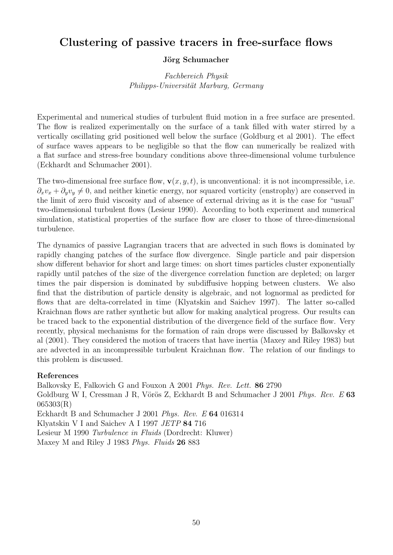# Clustering of passive tracers in free-surface flows

## Jörg Schumacher

Fachbereich Physik Philipps-Universität Marburg, Germany

Experimental and numerical studies of turbulent fluid motion in a free surface are presented. The flow is realized experimentally on the surface of a tank filled with water stirred by a vertically oscillating grid positioned well below the surface (Goldburg et al 2001). The effect of surface waves appears to be negligible so that the flow can numerically be realized with a flat surface and stress-free boundary conditions above three-dimensional volume turbulence (Eckhardt and Schumacher 2001).

The two-dimensional free surface flow,  $\mathbf{v}(x, y, t)$ , is unconventional: it is not incompressible, i.e.  $\partial_x v_x + \partial_y v_y \neq 0$ , and neither kinetic energy, nor squared vorticity (enstrophy) are conserved in the limit of zero fluid viscosity and of absence of external driving as it is the case for "usual" two-dimensional turbulent flows (Lesieur 1990). According to both experiment and numerical simulation, statistical properties of the surface flow are closer to those of three-dimensional turbulence.

The dynamics of passive Lagrangian tracers that are advected in such flows is dominated by rapidly changing patches of the surface flow divergence. Single particle and pair dispersion show different behavior for short and large times: on short times particles cluster exponentially rapidly until patches of the size of the divergence correlation function are depleted; on larger times the pair dispersion is dominated by subdiffusive hopping between clusters. We also find that the distribution of particle density is algebraic, and not lognormal as predicted for flows that are delta-correlated in time (Klyatskin and Saichev 1997). The latter so-called Kraichnan flows are rather synthetic but allow for making analytical progress. Our results can be traced back to the exponential distribution of the divergence field of the surface flow. Very recently, physical mechanisms for the formation of rain drops were discussed by Balkovsky et al (2001). They considered the motion of tracers that have inertia (Maxey and Riley 1983) but are advected in an incompressible turbulent Kraichnan flow. The relation of our findings to this problem is discussed.

## References

Balkovsky E, Falkovich G and Fouxon A 2001 Phys. Rev. Lett. 86 2790 Goldburg W I, Cressman J R, Vörös Z, Eckhardt B and Schumacher J 2001 Phys. Rev. E 63 065303(R) Eckhardt B and Schumacher J 2001 Phys. Rev. E 64 016314 Klyatskin V I and Saichev A I 1997 JETP 84 716 Lesieur M 1990 Turbulence in Fluids (Dordrecht: Kluwer) Maxey M and Riley J 1983 Phys. Fluids 26 883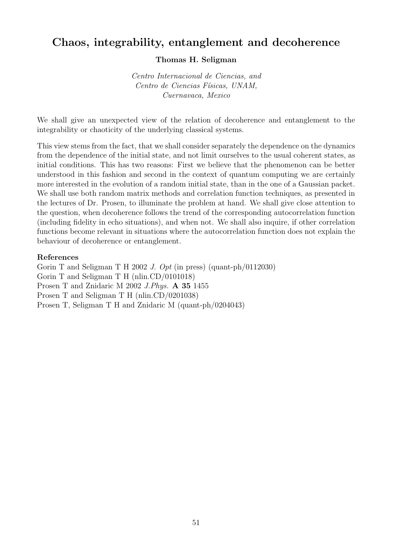# Chaos, integrability, entanglement and decoherence

## Thomas H. Seligman

Centro Internacional de Ciencias, and Centro de Ciencias Físicas, UNAM, Cuernavaca, Mexico

We shall give an unexpected view of the relation of decoherence and entanglement to the integrability or chaoticity of the underlying classical systems.

This view stems from the fact, that we shall consider separately the dependence on the dynamics from the dependence of the initial state, and not limit ourselves to the usual coherent states, as initial conditions. This has two reasons: First we believe that the phenomenon can be better understood in this fashion and second in the context of quantum computing we are certainly more interested in the evolution of a random initial state, than in the one of a Gaussian packet. We shall use both random matrix methods and correlation function techniques, as presented in the lectures of Dr. Prosen, to illuminate the problem at hand. We shall give close attention to the question, when decoherence follows the trend of the corresponding autocorrelation function (including fidelity in echo situations), and when not. We shall also inquire, if other correlation functions become relevant in situations where the autocorrelation function does not explain the behaviour of decoherence or entanglement.

#### References

Gorin T and Seligman T H 2002 J. Opt (in press) (quant-ph/0112030) Gorin T and Seligman T H (nlin.CD/0101018) Prosen T and Znidaric M 2002 J.Phys. A 35 1455 Prosen T and Seligman T H (nlin.CD/0201038) Prosen T, Seligman T H and Znidaric M (quant-ph/0204043)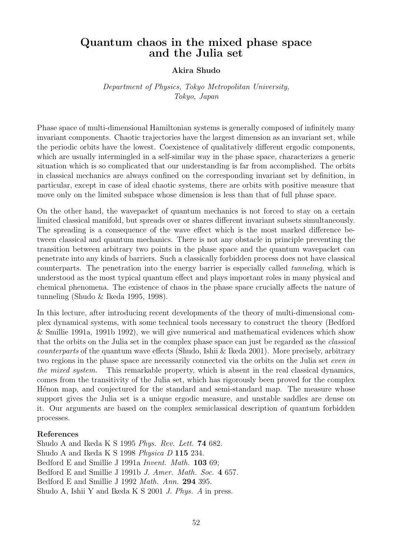# Quantum chaos in the mixed phase space and the Julia set

## Akira Shudo

## Department of Physics, Tokyo Metropolitan University, Tokyo, Japan

Phase space of multi-dimensional Hamiltonian systems is generally composed of infinitely many invariant components. Chaotic trajectories have the largest dimension as an invariant set, while the periodic orbits have the lowest. Coexistence of qualitatively different ergodic components, which are usually intermingled in a self-similar way in the phase space, characterizes a generic situation which is so complicated that our understanding is far from accomplished. The orbits in classical mechanics are always confined on the corresponding invariant set by definition, in particular, except in case of ideal chaotic systems, there are orbits with positive measure that move only on the limited subspace whose dimension is less than that of full phase space.

On the other hand, the wavepacket of quantum mechanics is not forced to stay on a certain limited classical manifold, but spreads over or shares different invariant subsets simultaneously. The spreading is a consequence of the wave effect which is the most marked difference between classical and quantum mechanics. There is not any obstacle in principle preventing the transition between arbitrary two points in the phase space and the quantum wavepacket can penetrate into any kinds of barriers. Such a classically forbidden process does not have classical counterparts. The penetration into the energy barrier is especially called tunneling, which is understood as the most typical quantum effect and plays important roles in many physical and chemical phenomena. The existence of chaos in the phase space crucially affects the nature of tunneling (Shudo & Ikeda 1995, 1998).

In this lecture, after introducing recent developments of the theory of multi-dimensional complex dynamical systems, with some technical tools necessary to construct the theory (Bedford & Smillie 1991a, 1991b 1992), we will give numerical and mathematical evidences which show that the orbits on the Julia set in the complex phase space can just be regarded as the classical counterparts of the quantum wave effects (Shudo, Ishii & Ikeda 2001). More precisely, arbitrary two regions in the phase space are necessarily connected via the orbits on the Julia set even in the mixed system. This remarkable property, which is absent in the real classical dynamics, comes from the transitivity of the Julia set, which has rigorously been proved for the complex Henon map, and conjectured for the standard and semi-standard map. The measure whose support gives the Julia set is a unique ergodic measure, and unstable saddles are dense on it. Our arguments are based on the complex semiclassical description of quantum forbidden processes.

#### References

Shudo A and Ikeda K S 1995 Phys. Rev. Lett. 74 682. Shudo A and Ikeda K S 1998 Physica D 115 234. Bedford E and Smillie J 1991a *Invent. Math.* **103** 69; Bedford E and Smillie J 1991b J. Amer. Math. Soc. 4 657. Bedford E and Smillie J 1992 Math. Ann. 294 395. Shudo A, Ishii Y and Ikeda K S 2001 J. Phys. A in press.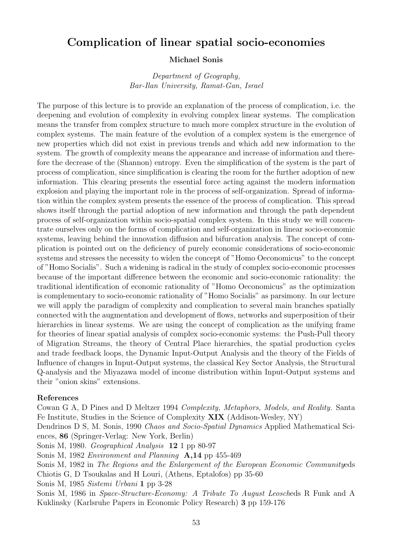# Complication of linear spatial socio-economies

#### Michael Sonis

Department of Geography, Bar-Ilan University, Ramat-Gan, Israel

The purpose of this lecture is to provide an explanation of the process of complication, i.e. the deepening and evolution of complexity in evolving complex linear systems. The complication means the transfer from complex structure to much more complex structure in the evolution of complex systems. The main feature of the evolution of a complex system is the emergence of new properties which did not exist in previous trends and which add new information to the system. The growth of complexity means the appearance and increase of information and therefore the decrease of the (Shannon) entropy. Even the simplification of the system is the part of process of complication, since simplification is clearing the room for the further adoption of new information. This clearing presents the essential force acting against the modern information explosion and playing the important role in the process of self-organization. Spread of information within the complex system presents the essence of the process of complication. This spread shows itself through the partial adoption of new information and through the path dependent process of self-organization within socio-spatial complex system. In this study we will concentrate ourselves only on the forms of complication and self-organization in linear socio-economic systems, leaving behind the innovation diffusion and bifurcation analysis. The concept of complication is pointed out on the deficiency of purely economic considerations of socio-economic systems and stresses the necessity to widen the concept of "Homo Oeconomicus" to the concept of "Homo Socialis". Such a widening is radical in the study of complex socio-economic processes because of the important difference between the economic and socio-economic rationality: the traditional identification of economic rationality of "Homo Oeconomicus" as the optimization is complementary to socio-economic rationality of "Homo Socialis" as parsimony. In our lecture we will apply the paradigm of complexity and complication to several main branches spatially connected with the augmentation and development of flows, networks and superposition of their hierarchies in linear systems. We are using the concept of complication as the unifying frame for theories of linear spatial analysis of complex socio-economic systems: the Push-Pull theory of Migration Streams, the theory of Central Place hierarchies, the spatial production cycles and trade feedback loops, the Dynamic Input-Output Analysis and the theory of the Fields of Influence of changes in Input-Output systems, the classical Key Sector Analysis, the Structural Q-analysis and the Miyazawa model of income distribution within Input-Output systems and their "onion skins" extensions.

#### References

Cowan G A, D Pines and D Meltzer 1994 Complexity, Metaphors, Models, and Reality. Santa Fe Institute, Studies in the Science of Complexity XIX (Addison-Wesley, NY) Dendrinos D S, M. Sonis, 1990 Chaos and Socio-Spatial Dynamics Applied Mathematical Sciences, 86 (Springer-Verlag: New York, Berlin) Sonis M, 1980. Geographical Analysis 12 1 pp 80-97 Sonis M, 1982 Environment and Planning A,14 pp 455-469 Sonis M, 1982 in The Regions and the Enlargement of the European Economic Communityeds Chiotis G, D Tsoukalas and H Louri, (Athens, Eptalofos) pp 35-60 Sonis M, 1985 Sistemi Urbani 1 pp 3-28 Sonis M, 1986 in Space-Structure-Economy: A Tribute To August Leoscheds R Funk and A Kuklinsky (Karlsruhe Papers in Economic Policy Research) 3 pp 159-176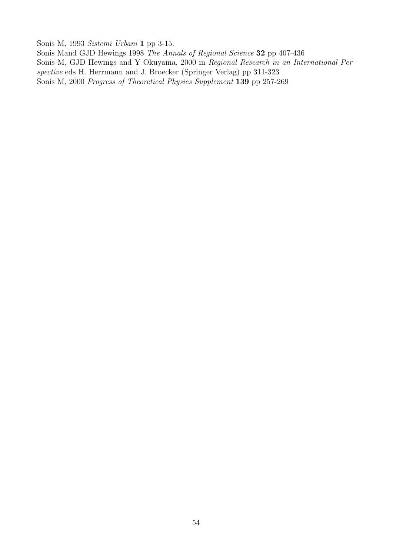Sonis M, 1993 Sistemi Urbani 1 pp 3-15.

Sonis Mand GJD Hewings 1998 The Annals of Regional Science 32 pp 407-436 Sonis M, GJD Hewings and Y Okuyama, 2000 in Regional Research in an International Perspective eds H. Herrmann and J. Broecker (Springer Verlag) pp 311-323 Sonis M, 2000 Progress of Theoretical Physics Supplement 139 pp 257-269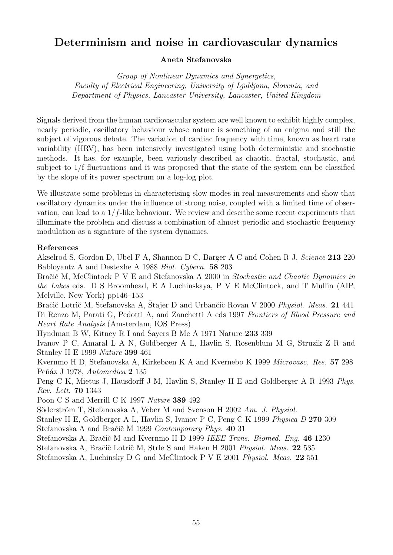# Determinism and noise in cardiovascular dynamics

## Aneta Stefanovska

Group of Nonlinear Dynamics and Synergetics, Faculty of Electrical Engineering, University of Ljubljana, Slovenia, and Department of Physics, Lancaster University, Lancaster, United Kingdom

Signals derived from the human cardiovascular system are well known to exhibit highly complex, nearly periodic, oscillatory behaviour whose nature is something of an enigma and still the subject of vigorous debate. The variation of cardiac frequency with time, known as heart rate variability (HRV), has been intensively investigated using both deterministic and stochastic methods. It has, for example, been variously described as chaotic, fractal, stochastic, and subject to 1/f fluctuations and it was proposed that the state of the system can be classified by the slope of its power spectrum on a log-log plot.

We illustrate some problems in characterising slow modes in real measurements and show that oscillatory dynamics under the influence of strong noise, coupled with a limited time of observation, can lead to a  $1/f$ -like behaviour. We review and describe some recent experiments that illuminate the problem and discuss a combination of almost periodic and stochastic frequency modulation as a signature of the system dynamics.

## References

Akselrod S, Gordon D, Ubel F A, Shannon D C, Barger A C and Cohen R J, Science 213 220 Babloyantz A and Destexhe A 1988 Biol. Cybern. 58 203

Bračič M, McClintock P V E and Stefanovska A 2000 in Stochastic and Chaotic Dynamics in the Lakes eds. D S Broomhead, E A Luchinskaya, P V E McClintock, and T Mullin (AIP, Melville, New York) pp146–153

Bračič Lotrič M, Stefanovska A, Štajer D and Urbančič Rovan V 2000 Physiol. Meas. 21 441 Di Renzo M, Parati G, Pedotti A, and Zanchetti A eds 1997 Frontiers of Blood Pressure and Heart Rate Analysis (Amsterdam, IOS Press)

Hyndman B W, Kitney R I and Sayers B Mc A 1971 Nature 233 339

Ivanov P C, Amaral L A N, Goldberger A L, Havlin S, Rosenblum M G, Struzik Z R and Stanley H E 1999 Nature 399 461

Kvernmo H D, Stefanovska A, Kirkebøen K A and Kvernebo K 1999 Microvasc. Res. 57 298 Peňáz J 1978, Automedica 2 135

Peng C K, Mietus J, Hausdorff J M, Havlin S, Stanley H E and Goldberger A R 1993 Phys. Rev. Lett. 70 1343

Poon C S and Merrill C K 1997 Nature 389 492

Söderström T, Stefanovska A, Veber M and Svenson H 2002 Am. J. Physiol.

Stanley H E, Goldberger A L, Havlin S, Ivanov P C, Peng C K 1999 Physica D 270 309 Stefanovska A and Bračič M 1999 Contemporary Phys. 40 31

Stefanovska A, Bračič M and Kvernmo H D 1999 IEEE Trans. Biomed. Eng. 46 1230

Stefanovska A, Bračič Lotrič M, Strle S and Haken H 2001 Physiol. Meas. 22 535

Stefanovska A, Luchinsky D G and McClintock P V E 2001 Physiol. Meas. 22 551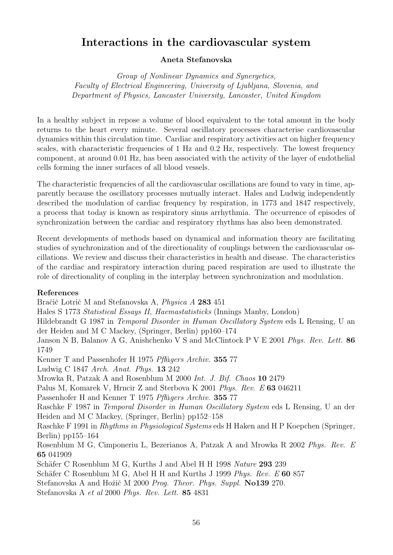# Interactions in the cardiovascular system

## Aneta Stefanovska

Group of Nonlinear Dynamics and Synergetics, Faculty of Electrical Engineering, University of Ljubljana, Slovenia, and Department of Physics, Lancaster University, Lancaster, United Kingdom

In a healthy subject in repose a volume of blood equivalent to the total amount in the body returns to the heart every minute. Several oscillatory processes characterise cardiovascular dynamics within this circulation time. Cardiac and respiratory activities act on higher frequency scales, with characteristic frequencies of 1 Hz and 0.2 Hz, respectively. The lowest frequency component, at around 0.01 Hz, has been associated with the activity of the layer of endothelial cells forming the inner surfaces of all blood vessels.

The characteristic frequencies of all the cardiovascular oscillations are found to vary in time, apparently because the oscillatory processes mutually interact. Hales and Ludwig independently described the modulation of cardiac frequency by respiration, in 1773 and 1847 respectively, a process that today is known as respiratory sinus arrhythmia. The occurrence of episodes of synchronization between the cardiac and respiratory rhythms has also been demonstrated.

Recent developments of methods based on dynamical and information theory are facilitating studies of synchronization and of the directionality of couplings between the cardiovascular oscillations. We review and discuss their characteristics in health and disease. The characteristics of the cardiac and respiratory interaction during paced respiration are used to illustrate the role of directionality of coupling in the interplay between synchronization and modulation.

## References

Bračič Lotrič M and Stefanovska A, Physica A 283 451 Hales S 1773 Statistical Essays II, Haemastatisticks (Innings Manby, London) Hildebrandt G 1987 in Temporal Disorder in Human Oscillatory System eds L Rensing, U an der Heiden and M C Mackey, (Springer, Berlin) pp160–174 Janson N B, Balanov A G, Anishchenko V S and McClintock P V E 2001 Phys. Rev. Lett. 86 1749 Kenner T and Passenhofer H 1975 Pflügers Archiv. 355 77 Ludwig C 1847 Arch. Anat. Phys. 13 242 Mrowka R, Patzak A and Rosenblum M 2000 Int. J. Bif. Chaos 10 2479 Palus M, Komarek V, Hrncir Z and Sterbova K 2001 Phys. Rev. E 63 046211 Passenhofer H and Kenner T 1975 Pflügers Archiv. 355 77 Raschke F 1987 in Temporal Disorder in Human Oscillatory System eds L Rensing, U an der Heiden and M C Mackey, (Springer, Berlin) pp152–158 Raschke F 1991 in Rhythms in Physiological Systems eds H Haken and H P Koepchen (Springer, Berlin) pp155–164 Rosenblum M G, Cimponeriu L, Bezerianos A, Patzak A and Mrowka R 2002 Phys. Rev. E 65 041909 Schäfer C Rosenblum M G, Kurths J and Abel H H 1998 Nature 293 239 Schäfer C Rosenblum M G, Abel H H and Kurths J 1999  $Phys. Rev. E$  60 857 Stefanovska A and Hožič M 2000 Prog. Theor. Phys. Suppl. No139 270.

Stefanovska A et al 2000 Phys. Rev. Lett. 85 4831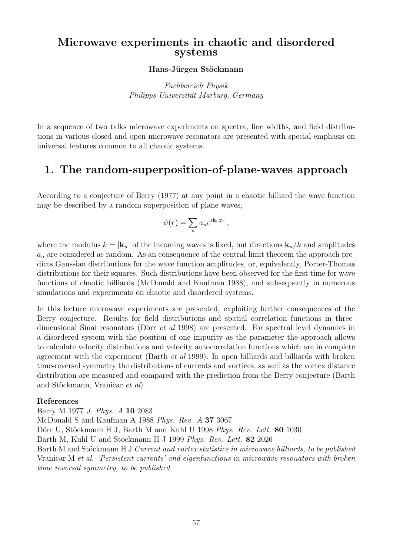## Microwave experiments in chaotic and disordered systems

#### Hans-Jürgen Stöckmann

Fachbereich Physik Philipps-Universität Marburg, Germany

In a sequence of two talks microwave experiments on spectra, line widths, and field distributions in various closed and open microwave resonators are presented with special emphasis on universal features common to all chaotic systems.

# 1. The random-superposition-of-plane-waves approach

According to a conjecture of Berry (1977) at any point in a chaotic billiard the wave function may be described by a random superposition of plane waves,

$$
\psi(r) = \sum_n a_n e^{i\mathbf{k}_n \mathbf{r}_n} ,
$$

where the modulus  $k = |\mathbf{k}_n|$  of the incoming waves is fixed, but directions  $\mathbf{k}_n/k$  and amplitudes  $a_n$  are considered as random. As an consequence of the central-limit theorem the approach predicts Gaussian distributions for the wave function amplitudes, or, equivalently, Porter-Thomas distributions for their squares. Such distributions have been observed for the first time for wave functions of chaotic billiards (McDonald and Kaufman 1988), and subsequently in numerous simulations and experiments on chaotic and disordered systems.

In this lecture microwave experiments are presented, exploiting further consequences of the Berry conjecture. Results for field distributions and spatial correlation functions in threedimensional Sinai resonators (Dörr *et al* 1998) are presented. For spectral level dynamics in a disordered system with the position of one impurity as the parameter the approach allows to calculate velocity distributions and velocity autocorrelation functions which are in complete agreement with the experiment (Barth et al 1999). In open billiards and billiards with broken time-reversal symmetry the distributions of currents and vortices, as well as the vortex distance distribution are measured and compared with the prediction from the Berry conjecture (Barth and Stöckmann, Vraničar et al).

#### References

Berry M 1977 J. Phys. A 10 2083 McDonald S and Kaufman A 1988 Phys. Rev. A 37 3067 Dörr U, Stöckmann H J, Barth M and Kuhl U 1998 Phys. Rev. Lett. 80 1030 Barth M, Kuhl U and Stöckmann H J 1999 Phys. Rev. Lett. 82 2026 Barth M and Stöckmann H J Current and vortex statistics in microwave billiards, to be published Vraničar M et al. 'Persistent currents' and eigenfunctions in microwave resonators with broken time reversal symmetry, to be published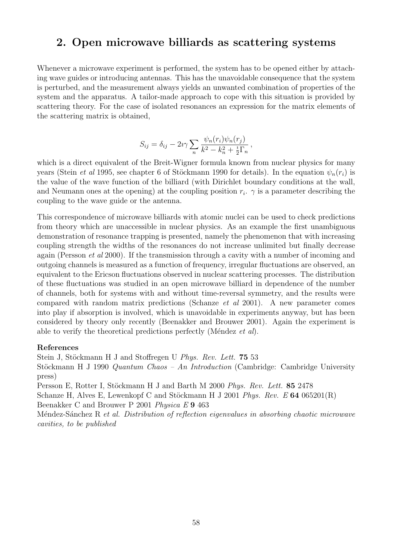# 2. Open microwave billiards as scattering systems

Whenever a microwave experiment is performed, the system has to be opened either by attaching wave guides or introducing antennas. This has the unavoidable consequence that the system is perturbed, and the measurement always yields an unwanted combination of properties of the system and the apparatus. A tailor-made approach to cope with this situation is provided by scattering theory. For the case of isolated resonances an expression for the matrix elements of the scattering matrix is obtained,

$$
S_{ij} = \delta_{ij} - 2i\gamma \sum_n \frac{\psi_n(r_i)\psi_n(r_j)}{k^2 - k_n^2 + \frac{i}{2}\Gamma_n},
$$

which is a direct equivalent of the Breit-Wigner formula known from nuclear physics for many years (Stein *et al* 1995, see chapter 6 of Stöckmann 1990 for details). In the equation  $\psi_n(r_i)$  is the value of the wave function of the billiard (with Dirichlet boundary conditions at the wall, and Neumann ones at the opening) at the coupling position  $r_i$ .  $\gamma$  is a parameter describing the coupling to the wave guide or the antenna.

This correspondence of microwave billiards with atomic nuclei can be used to check predictions from theory which are unaccessible in nuclear physics. As an example the first unambiguous demonstration of resonance trapping is presented, namely the phenomenon that with increasing coupling strength the widths of the resonances do not increase unlimited but finally decrease again (Persson et al 2000). If the transmission through a cavity with a number of incoming and outgoing channels is measured as a function of frequency, irregular fluctuations are observed, an equivalent to the Ericson fluctuations observed in nuclear scattering processes. The distribution of these fluctuations was studied in an open microwave billiard in dependence of the number of channels, both for systems with and without time-reversal symmetry, and the results were compared with random matrix predictions (Schanze et al 2001). A new parameter comes into play if absorption is involved, which is unavoidable in experiments anyway, but has been considered by theory only recently (Beenakker and Brouwer 2001). Again the experiment is able to verify the theoretical predictions perfectly (Méndez et al).

#### References

Stein J, Stöckmann H J and Stoffregen U Phys. Rev. Lett. 75 53 Stöckmann H J 1990 Quantum Chaos – An Introduction (Cambridge: Cambridge University press) Persson E, Rotter I, Stöckmann H J and Barth M 2000 Phys. Rev. Lett. 85 2478 Schanze H, Alves E, Lewenkopf C and Stöckmann H J 2001 Phys. Rev. E 64 065201(R) Beenakker C and Brouwer P 2001 Physica E 9 463 Méndez-Sánchez R et al. Distribution of reflection eigenvalues in absorbing chaotic microwave cavities, to be published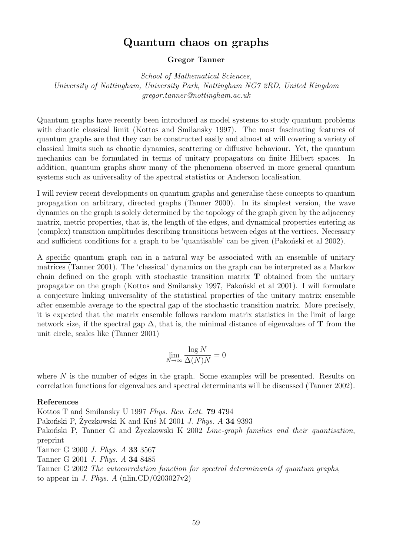# Quantum chaos on graphs

#### Gregor Tanner

School of Mathematical Sciences, University of Nottingham, University Park, Nottingham NG7 2RD, United Kingdom gregor.tanner@nottingham.ac.uk

Quantum graphs have recently been introduced as model systems to study quantum problems with chaotic classical limit (Kottos and Smilansky 1997). The most fascinating features of quantum graphs are that they can be constructed easily and almost at will covering a variety of classical limits such as chaotic dynamics, scattering or diffusive behaviour. Yet, the quantum mechanics can be formulated in terms of unitary propagators on finite Hilbert spaces. In addition, quantum graphs show many of the phenomena observed in more general quantum systems such as universality of the spectral statistics or Anderson localisation.

I will review recent developments on quantum graphs and generalise these concepts to quantum propagation on arbitrary, directed graphs (Tanner 2000). In its simplest version, the wave dynamics on the graph is solely determined by the topology of the graph given by the adjacency matrix, metric properties, that is, the length of the edges, and dynamical properties entering as (complex) transition amplitudes describing transitions between edges at the vertices. Necessary and sufficient conditions for a graph to be 'quantisable' can be given (Pakonski et al 2002).

A specific quantum graph can in a natural way be associated with an ensemble of unitary matrices (Tanner 2001). The 'classical' dynamics on the graph can be interpreted as a Markov chain defined on the graph with stochastic transition matrix T obtained from the unitary propagator on the graph (Kottos and Smilansky 1997, Pakoński et al 2001). I will formulate a conjecture linking universality of the statistical properties of the unitary matrix ensemble after ensemble average to the spectral gap of the stochastic transition matrix. More precisely, it is expected that the matrix ensemble follows random matrix statistics in the limit of large network size, if the spectral gap  $\Delta$ , that is, the minimal distance of eigenvalues of **T** from the unit circle, scales like (Tanner 2001)

$$
\lim_{N \to \infty} \frac{\log N}{\Delta(N)N} = 0
$$

where  $N$  is the number of edges in the graph. Some examples will be presented. Results on correlation functions for eigenvalues and spectral determinants will be discussed (Tanner 2002).

#### References

Kottos T and Smilansky U 1997 Phys. Rev. Lett. 79 4794 Pakoński P, Życzkowski K and Kuś M 2001 *J. Phys. A* 34 9393 Pakoński P, Tanner G and Zyczkowski K 2002 *Line-graph families and their quantisation*, preprint Tanner G 2000 J. Phys. A 33 3567 Tanner G 2001 J. Phys. A 34 8485 Tanner G 2002 The autocorrelation function for spectral determinants of quantum graphs, to appear in J. Phys. A (nlin.CD/0203027v2)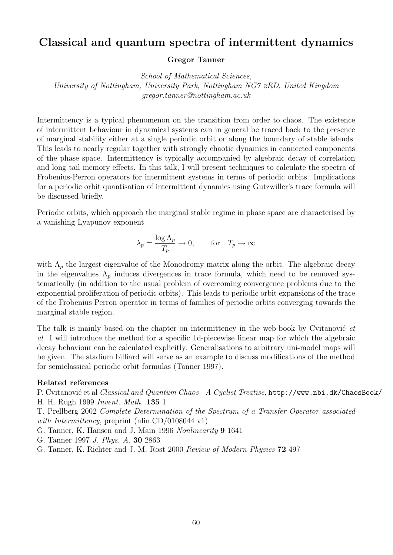# Classical and quantum spectra of intermittent dynamics

#### Gregor Tanner

School of Mathematical Sciences, University of Nottingham, University Park, Nottingham NG7 2RD, United Kingdom gregor.tanner@nottingham.ac.uk

Intermittency is a typical phenomenon on the transition from order to chaos. The existence of intermittent behaviour in dynamical systems can in general be traced back to the presence of marginal stability either at a single periodic orbit or along the boundary of stable islands. This leads to nearly regular together with strongly chaotic dynamics in connected components of the phase space. Intermittency is typically accompanied by algebraic decay of correlation and long tail memory effects. In this talk, I will present techniques to calculate the spectra of Frobenius-Perron operators for intermittent systems in terms of periodic orbits. Implications for a periodic orbit quantisation of intermittent dynamics using Gutzwiller's trace formula will be discussed briefly.

Periodic orbits, which approach the marginal stable regime in phase space are characterised by a vanishing Lyapunov exponent

$$
\lambda_p = \frac{\log \Lambda_p}{T_p} \to 0, \quad \text{for} \quad T_p \to \infty
$$

with  $\Lambda_p$  the largest eigenvalue of the Monodromy matrix along the orbit. The algebraic decay in the eigenvalues  $\Lambda_p$  induces divergences in trace formula, which need to be removed systematically (in addition to the usual problem of overcoming convergence problems due to the exponential proliferation of periodic orbits). This leads to periodic orbit expansions of the trace of the Frobenius Perron operator in terms of families of periodic orbits converging towards the marginal stable region.

The talk is mainly based on the chapter on intermittency in the web-book by Cvitanović  $et$ al. I will introduce the method for a specific 1d-piecewise linear map for which the algebraic decay behaviour can be calculated explicitly. Generalisations to arbitrary uni-model maps will be given. The stadium billiard will serve as an example to discuss modifications of the method for semiclassical periodic orbit formulas (Tanner 1997).

#### Related references

P. Cvitanović et al Classical and Quantum Chaos - A Cyclist Treatise, http://www.nbi.dk/ChaosBook/ H. H. Rugh 1999 Invent. Math. 135 1

T. Prellberg 2002 Complete Determination of the Spectrum of a Transfer Operator associated with Intermittency, preprint (nlin.CD/0108044 v1)

- G. Tanner, K. Hansen and J. Main 1996 Nonlinearity 9 1641
- G. Tanner 1997 J. Phys. A. 30 2863
- G. Tanner, K. Richter and J. M. Rost 2000 Review of Modern Physics 72 497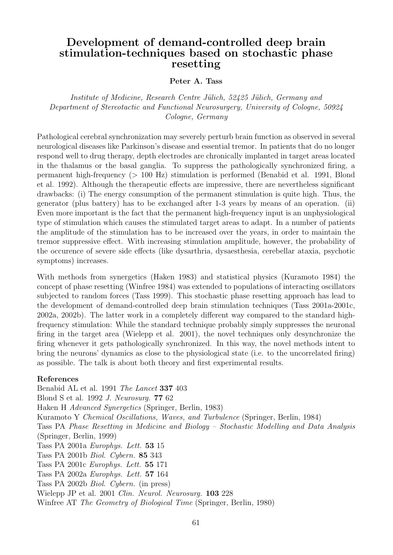# Development of demand-controlled deep brain stimulation-techniques based on stochastic phase resetting

#### Peter A. Tass

Institute of Medicine, Research Centre Jülich, 52425 Jülich, Germany and Department of Stereotactic and Functional Neurosurgery, University of Cologne, 50924 Cologne, Germany

Pathological cerebral synchronization may severely perturb brain function as observed in several neurological diseases like Parkinson's disease and essential tremor. In patients that do no longer respond well to drug therapy, depth electrodes are chronically implanted in target areas located in the thalamus or the basal ganglia. To suppress the pathologically synchronized firing, a permanent high-frequency (> 100 Hz) stimulation is performed (Benabid et al. 1991, Blond et al. 1992). Although the therapeutic effects are impressive, there are nevertheless significant drawbacks: (i) The energy consumption of the permanent stimulation is quite high. Thus, the generator (plus battery) has to be exchanged after 1-3 years by means of an operation. (ii) Even more important is the fact that the permanent high-frequency input is an unphysiological type of stimulation which causes the stimulated target areas to adapt. In a number of patients the amplitude of the stimulation has to be increased over the years, in order to maintain the tremor suppressive effect. With increasing stimulation amplitude, however, the probability of the occurence of severe side effects (like dysarthria, dysaesthesia, cerebellar ataxia, psychotic symptoms) increases.

With methods from synergetics (Haken 1983) and statistical physics (Kuramoto 1984) the concept of phase resetting (Winfree 1984) was extended to populations of interacting oscillators subjected to random forces (Tass 1999). This stochastic phase resetting approach has lead to the development of demand-controlled deep brain stimulation techniques (Tass 2001a-2001c, 2002a, 2002b). The latter work in a completely different way compared to the standard highfrequency stimulation: While the standard technique probably simply suppresses the neuronal firing in the target area (Wielepp et al. 2001), the novel techniques only desynchronize the firing whenever it gets pathologically synchronized. In this way, the novel methods intent to bring the neurons' dynamics as close to the physiological state (i.e. to the uncorrelated firing) as possible. The talk is about both theory and first experimental results.

#### References

Benabid AL et al. 1991 The Lancet 337 403 Blond S et al. 1992 J. Neurosurg. 77 62 Haken H Advanced Synergetics (Springer, Berlin, 1983) Kuramoto Y Chemical Oscillations, Waves, and Turbulence (Springer, Berlin, 1984) Tass PA Phase Resetting in Medicine and Biology – Stochastic Modelling and Data Analysis (Springer, Berlin, 1999) Tass PA 2001a Europhys. Lett. 53 15 Tass PA 2001b Biol. Cybern. 85 343 Tass PA 2001c Europhys. Lett. 55 171 Tass PA 2002a Europhys. Lett. 57 164 Tass PA 2002b Biol. Cybern. (in press) Wielepp JP et al. 2001 Clin. Neurol. Neurosurg. 103 228 Winfree AT The Geometry of Biological Time (Springer, Berlin, 1980)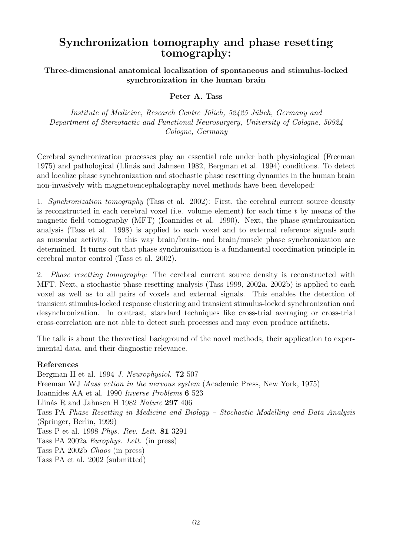# Synchronization tomography and phase resetting tomography:

Three-dimensional anatomical localization of spontaneous and stimulus-locked synchronization in the human brain

## Peter A. Tass

Institute of Medicine, Research Centre Jülich, 52425 Jülich, Germany and Department of Stereotactic and Functional Neurosurgery, University of Cologne, 50924 Cologne, Germany

Cerebral synchronization processes play an essential role under both physiological (Freeman 1975) and pathological (Llinás and Jahnsen 1982, Bergman et al. 1994) conditions. To detect and localize phase synchronization and stochastic phase resetting dynamics in the human brain non-invasively with magnetoencephalography novel methods have been developed:

1. Synchronization tomography (Tass et al. 2002): First, the cerebral current source density is reconstructed in each cerebral voxel (i.e. volume element) for each time  $t$  by means of the magnetic field tomography (MFT) (Ioannides et al. 1990). Next, the phase synchronization analysis (Tass et al. 1998) is applied to each voxel and to external reference signals such as muscular activity. In this way brain/brain- and brain/muscle phase synchronization are determined. It turns out that phase synchronization is a fundamental coordination principle in cerebral motor control (Tass et al. 2002).

2. Phase resetting tomography: The cerebral current source density is reconstructed with MFT. Next, a stochastic phase resetting analysis (Tass 1999, 2002a, 2002b) is applied to each voxel as well as to all pairs of voxels and external signals. This enables the detection of transient stimulus-locked response clustering and transient stimulus-locked synchronization and desynchronization. In contrast, standard techniques like cross-trial averaging or cross-trial cross-correlation are not able to detect such processes and may even produce artifacts.

The talk is about the theoretical background of the novel methods, their application to experimental data, and their diagnostic relevance.

## References

Bergman H et al. 1994 J. Neurophysiol. 72 507 Freeman WJ Mass action in the nervous system (Academic Press, New York, 1975) Ioannides AA et al. 1990 Inverse Problems 6 523 Llinás R and Jahnsen H 1982 Nature 297 406 Tass PA Phase Resetting in Medicine and Biology – Stochastic Modelling and Data Analysis (Springer, Berlin, 1999) Tass P et al. 1998 Phys. Rev. Lett. 81 3291 Tass PA 2002a Europhys. Lett. (in press) Tass PA 2002b Chaos (in press) Tass PA et al. 2002 (submitted)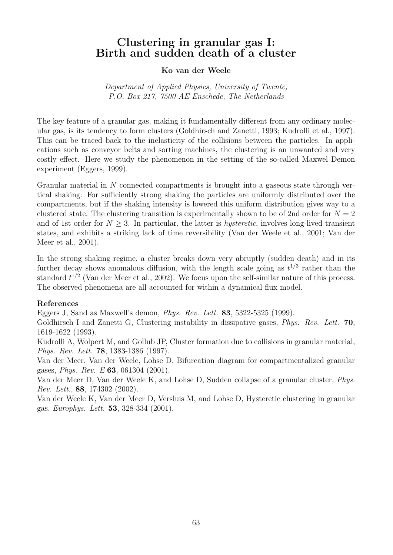# Clustering in granular gas I: Birth and sudden death of a cluster

### Ko van der Weele

Department of Applied Physics, University of Twente, P.O. Box 217, 7500 AE Enschede, The Netherlands

The key feature of a granular gas, making it fundamentally different from any ordinary molecular gas, is its tendency to form clusters (Goldhirsch and Zanetti, 1993; Kudrolli et al., 1997). This can be traced back to the inelasticity of the collisions between the particles. In applications such as conveyor belts and sorting machines, the clustering is an unwanted and very costly effect. Here we study the phenomenon in the setting of the so-called Maxwel Demon experiment (Eggers, 1999).

Granular material in N connected compartments is brought into a gaseous state through vertical shaking. For sufficiently strong shaking the particles are uniformly distributed over the compartments, but if the shaking intensity is lowered this uniform distribution gives way to a clustered state. The clustering transition is experimentally shown to be of 2nd order for  $N = 2$ and of 1st order for  $N > 3$ . In particular, the latter is *hysteretic*, involves long-lived transient states, and exhibits a striking lack of time reversibility (Van der Weele et al., 2001; Van der Meer et al., 2001).

In the strong shaking regime, a cluster breaks down very abruptly (sudden death) and in its further decay shows anomalous diffusion, with the length scale going as  $t^{1/3}$  rather than the standard  $t^{1/2}$  (Van der Meer et al., 2002). We focus upon the self-similar nature of this process. The observed phenomena are all accounted for within a dynamical flux model.

#### References

Eggers J, Sand as Maxwell's demon, Phys. Rev. Lett. 83, 5322-5325 (1999).

Goldhirsch I and Zanetti G, Clustering instability in dissipative gases, *Phys. Rev. Lett.* **70**, 1619-1622 (1993).

Kudrolli A, Wolpert M, and Gollub JP, Cluster formation due to collisions in granular material, Phys. Rev. Lett. 78, 1383-1386 (1997).

Van der Meer, Van der Weele, Lohse D, Bifurcation diagram for compartmentalized granular gases, Phys. Rev. E 63, 061304 (2001).

Van der Meer D, Van der Weele K, and Lohse D, Sudden collapse of a granular cluster, Phys. Rev. Lett., 88, 174302 (2002).

Van der Weele K, Van der Meer D, Versluis M, and Lohse D, Hysteretic clustering in granular gas, Europhys. Lett. 53, 328-334 (2001).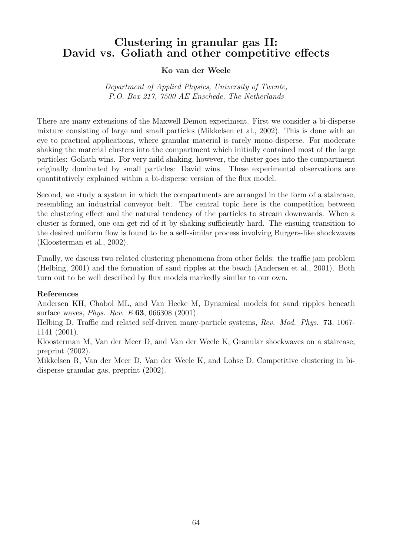# Clustering in granular gas II: David vs. Goliath and other competitive effects

## Ko van der Weele

Department of Applied Physics, University of Twente, P.O. Box 217, 7500 AE Enschede, The Netherlands

There are many extensions of the Maxwell Demon experiment. First we consider a bi-disperse mixture consisting of large and small particles (Mikkelsen et al., 2002). This is done with an eye to practical applications, where granular material is rarely mono-disperse. For moderate shaking the material clusters into the compartment which initially contained most of the large particles: Goliath wins. For very mild shaking, however, the cluster goes into the compartment originally dominated by small particles: David wins. These experimental observations are quantitatively explained within a bi-disperse version of the flux model.

Second, we study a system in which the compartments are arranged in the form of a staircase, resembling an industrial conveyor belt. The central topic here is the competition between the clustering effect and the natural tendency of the particles to stream downwards. When a cluster is formed, one can get rid of it by shaking sufficiently hard. The ensuing transition to the desired uniform flow is found to be a self-similar process involving Burgers-like shockwaves (Kloosterman et al., 2002).

Finally, we discuss two related clustering phenomena from other fields: the traffic jam problem (Helbing, 2001) and the formation of sand ripples at the beach (Andersen et al., 2001). Both turn out to be well described by flux models markedly similar to our own.

## References

Andersen KH, Chabol ML, and Van Hecke M, Dynamical models for sand ripples beneath surface waves, Phys. Rev. E 63, 066308 (2001).

Helbing D, Traffic and related self-driven many-particle systems, Rev. Mod. Phys. 73, 1067- 1141 (2001).

Kloosterman M, Van der Meer D, and Van der Weele K, Granular shockwaves on a staircase, preprint (2002).

Mikkelsen R, Van der Meer D, Van der Weele K, and Lohse D, Competitive clustering in bidisperse granular gas, preprint (2002).